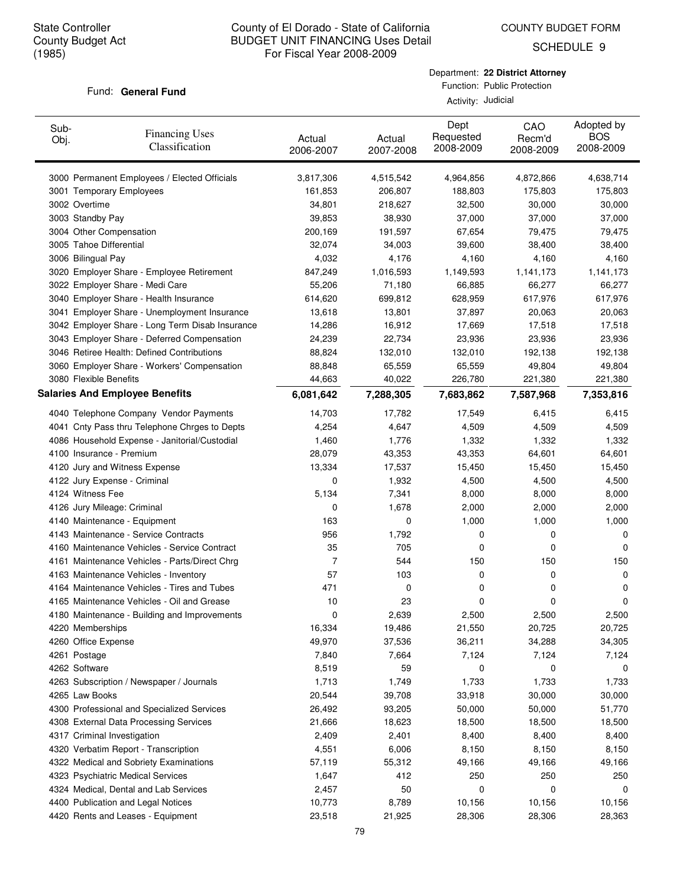COUNTY BUDGET FORM

SCHEDULE 9

#### Fund: General Fund

| Sub-<br>Obj. | <b>Financing Uses</b><br>Classification         | Actual<br>2006-2007 | Actual<br>2007-2008 | Dept<br>Requested<br>2008-2009 | CAO<br>Recm'd<br>2008-2009 | Adopted by<br><b>BOS</b><br>2008-2009 |
|--------------|-------------------------------------------------|---------------------|---------------------|--------------------------------|----------------------------|---------------------------------------|
|              | 3000 Permanent Employees / Elected Officials    | 3,817,306           | 4,515,542           | 4,964,856                      | 4,872,866                  | 4,638,714                             |
|              | 3001 Temporary Employees                        | 161,853             | 206,807             | 188,803                        | 175,803                    | 175,803                               |
|              | 3002 Overtime                                   | 34,801              | 218,627             | 32,500                         | 30,000                     | 30,000                                |
|              | 3003 Standby Pay                                | 39,853              | 38,930              | 37,000                         | 37,000                     | 37,000                                |
|              | 3004 Other Compensation                         | 200,169             | 191,597             | 67,654                         | 79,475                     | 79,475                                |
|              | 3005 Tahoe Differential                         | 32,074              | 34,003              | 39,600                         | 38,400                     | 38,400                                |
|              | 3006 Bilingual Pay                              | 4,032               | 4,176               | 4,160                          | 4,160                      | 4,160                                 |
|              | 3020 Employer Share - Employee Retirement       | 847,249             | 1,016,593           | 1,149,593                      | 1,141,173                  | 1,141,173                             |
|              | 3022 Employer Share - Medi Care                 | 55,206              | 71,180              | 66,885                         | 66,277                     | 66,277                                |
|              | 3040 Employer Share - Health Insurance          | 614,620             | 699,812             | 628,959                        | 617,976                    | 617,976                               |
|              | 3041 Employer Share - Unemployment Insurance    | 13,618              | 13,801              | 37,897                         | 20,063                     | 20,063                                |
|              | 3042 Employer Share - Long Term Disab Insurance | 14,286              | 16,912              | 17,669                         | 17,518                     | 17,518                                |
|              | 3043 Employer Share - Deferred Compensation     | 24,239              | 22,734              | 23,936                         | 23,936                     | 23,936                                |
|              | 3046 Retiree Health: Defined Contributions      | 88,824              | 132,010             | 132,010                        | 192,138                    | 192,138                               |
|              | 3060 Employer Share - Workers' Compensation     | 88,848              | 65,559              | 65,559                         | 49,804                     | 49,804                                |
|              | 3080 Flexible Benefits                          | 44,663              | 40,022              | 226,780                        | 221,380                    | 221,380                               |
|              | <b>Salaries And Employee Benefits</b>           | 6,081,642           | 7,288,305           | 7,683,862                      | 7,587,968                  | 7,353,816                             |
|              | 4040 Telephone Company Vendor Payments          | 14,703              | 17,782              | 17,549                         | 6,415                      | 6,415                                 |
|              | 4041 Cnty Pass thru Telephone Chrges to Depts   | 4,254               | 4,647               | 4,509                          | 4,509                      | 4,509                                 |
|              | 4086 Household Expense - Janitorial/Custodial   | 1,460               | 1,776               | 1,332                          | 1,332                      | 1,332                                 |
|              | 4100 Insurance - Premium                        | 28,079              | 43,353              | 43,353                         | 64,601                     | 64,601                                |
|              | 4120 Jury and Witness Expense                   | 13,334              | 17,537              | 15,450                         | 15,450                     | 15,450                                |
|              | 4122 Jury Expense - Criminal                    | 0                   | 1,932               | 4,500                          | 4,500                      | 4,500                                 |
|              | 4124 Witness Fee                                | 5,134               | 7,341               | 8,000                          | 8,000                      | 8,000                                 |
|              | 4126 Jury Mileage: Criminal                     | 0                   | 1,678               | 2,000                          | 2,000                      | 2,000                                 |
|              | 4140 Maintenance - Equipment                    | 163                 | 0                   | 1,000                          | 1,000                      | 1,000                                 |
|              | 4143 Maintenance - Service Contracts            | 956                 | 1,792               | 0                              | 0                          | 0                                     |
|              | 4160 Maintenance Vehicles - Service Contract    | 35                  | 705                 | 0                              | 0                          | 0                                     |
|              | 4161 Maintenance Vehicles - Parts/Direct Chrg   | 7                   | 544                 | 150                            | 150                        | 150                                   |
|              | 4163 Maintenance Vehicles - Inventory           | 57                  | 103                 | 0                              | 0                          | 0                                     |
|              | 4164 Maintenance Vehicles - Tires and Tubes     | 471                 | 0                   | 0                              | 0                          | 0                                     |
|              | 4165 Maintenance Vehicles - Oil and Grease      | 10                  | 23                  | 0                              | 0                          | 0                                     |
|              | 4180 Maintenance - Building and Improvements    | 0                   | 2,639               | 2,500                          | 2,500                      | 2,500                                 |
|              | 4220 Memberships                                | 16,334              | 19,486              | 21,550                         | 20,725                     | 20,725                                |
|              | 4260 Office Expense                             | 49,970              | 37,536              | 36,211                         | 34,288                     | 34,305                                |
|              | 4261 Postage                                    | 7,840               | 7,664               | 7,124                          | 7,124                      | 7,124                                 |
|              | 4262 Software                                   | 8,519               | 59                  | 0                              | 0                          | 0                                     |
|              | 4263 Subscription / Newspaper / Journals        | 1,713               | 1,749               | 1,733                          | 1,733                      | 1,733                                 |
|              | 4265 Law Books                                  | 20,544              | 39,708              | 33,918                         | 30,000                     | 30,000                                |
|              | 4300 Professional and Specialized Services      | 26,492              | 93,205              | 50,000                         | 50,000                     | 51,770                                |
|              | 4308 External Data Processing Services          | 21,666              | 18,623              | 18,500                         | 18,500                     | 18,500                                |
|              | 4317 Criminal Investigation                     | 2,409               | 2,401               | 8,400                          | 8,400                      | 8,400                                 |
|              | 4320 Verbatim Report - Transcription            | 4,551               | 6,006               | 8,150                          | 8,150                      | 8,150                                 |
|              | 4322 Medical and Sobriety Examinations          | 57,119              | 55,312              | 49,166                         | 49,166                     | 49,166                                |
|              | 4323 Psychiatric Medical Services               | 1,647               | 412                 | 250                            | 250                        | 250                                   |
|              | 4324 Medical, Dental and Lab Services           | 2,457               | 50                  | 0                              | 0                          | 0                                     |
|              | 4400 Publication and Legal Notices              | 10,773              | 8,789               | 10,156                         | 10,156                     | 10,156                                |
|              | 4420 Rents and Leases - Equipment               | 23,518              | 21,925              | 28,306                         | 28,306                     | 28,363                                |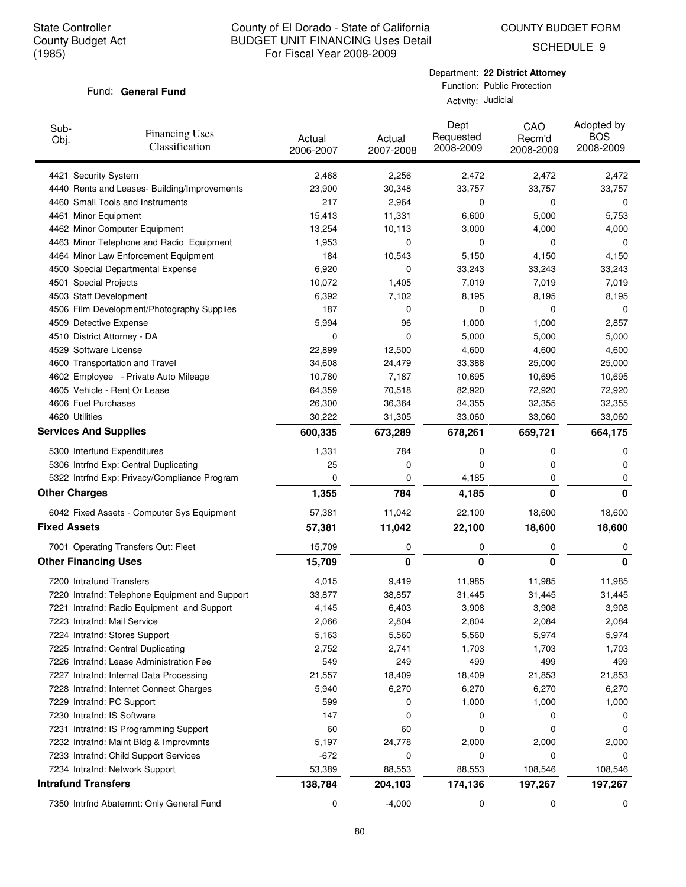SCHEDULE 9

#### Fund: General Fund

Department: **22 District Attorney** Function: Public Protection

| Sub-<br>Obj.        | <b>Financing Uses</b><br>Classification        | Actual<br>2006-2007 | Actual<br>2007-2008 | Dept<br>Requested<br>2008-2009 | CAO<br>Recm'd<br>2008-2009 | Adopted by<br><b>BOS</b><br>2008-2009 |
|---------------------|------------------------------------------------|---------------------|---------------------|--------------------------------|----------------------------|---------------------------------------|
|                     | 4421 Security System                           | 2,468               | 2,256               | 2,472                          | 2,472                      | 2,472                                 |
|                     | 4440 Rents and Leases- Building/Improvements   | 23,900              | 30,348              | 33,757                         | 33,757                     | 33,757                                |
|                     | 4460 Small Tools and Instruments               | 217                 | 2,964               | 0                              | 0                          | 0                                     |
|                     | 4461 Minor Equipment                           | 15,413              | 11,331              | 6,600                          | 5,000                      | 5,753                                 |
|                     | 4462 Minor Computer Equipment                  | 13,254              | 10,113              | 3,000                          | 4,000                      | 4,000                                 |
|                     | 4463 Minor Telephone and Radio Equipment       | 1,953               | 0                   | 0                              | 0                          | 0                                     |
|                     | 4464 Minor Law Enforcement Equipment           | 184                 | 10,543              | 5,150                          | 4,150                      | 4,150                                 |
|                     | 4500 Special Departmental Expense              | 6,920               | 0                   | 33,243                         | 33,243                     | 33,243                                |
|                     | 4501 Special Projects                          | 10,072              | 1,405               | 7,019                          | 7,019                      | 7,019                                 |
|                     | 4503 Staff Development                         | 6,392               | 7,102               | 8,195                          | 8,195                      | 8,195                                 |
|                     | 4506 Film Development/Photography Supplies     | 187                 | 0                   | 0                              | 0                          | 0                                     |
|                     | 4509 Detective Expense                         | 5,994               | 96                  | 1,000                          | 1,000                      | 2,857                                 |
|                     | 4510 District Attorney - DA                    | 0                   | 0                   | 5,000                          | 5,000                      | 5,000                                 |
|                     | 4529 Software License                          | 22,899              | 12,500              | 4,600                          | 4,600                      | 4,600                                 |
|                     | 4600 Transportation and Travel                 | 34,608              | 24,479              | 33,388                         | 25,000                     | 25,000                                |
|                     | 4602 Employee - Private Auto Mileage           | 10,780              | 7,187               | 10,695                         | 10,695                     | 10,695                                |
|                     | 4605 Vehicle - Rent Or Lease                   | 64,359              | 70,518              | 82,920                         | 72,920                     | 72,920                                |
|                     | 4606 Fuel Purchases                            | 26,300              | 36,364              | 34,355                         | 32,355                     | 32,355                                |
|                     | 4620 Utilities                                 | 30,222              | 31,305              | 33,060                         | 33,060                     | 33,060                                |
|                     | <b>Services And Supplies</b>                   | 600,335             | 673,289             | 678,261                        | 659,721                    | 664,175                               |
|                     | 5300 Interfund Expenditures                    | 1,331               | 784                 | 0                              | 0                          | 0                                     |
|                     | 5306 Intrfnd Exp: Central Duplicating          | 25                  | 0                   | 0                              | 0                          | 0                                     |
|                     | 5322 Intrfnd Exp: Privacy/Compliance Program   | 0                   | 0                   | 4,185                          | 0                          | 0                                     |
|                     | <b>Other Charges</b>                           | 1,355               | 784                 | 4,185                          | 0                          | 0                                     |
|                     | 6042 Fixed Assets - Computer Sys Equipment     | 57,381              | 11,042              | 22,100                         | 18,600                     | 18,600                                |
| <b>Fixed Assets</b> |                                                | 57,381              | 11,042              | 22,100                         | 18,600                     | 18,600                                |
|                     | 7001 Operating Transfers Out: Fleet            | 15,709              | 0                   | 0                              | 0                          | 0                                     |
|                     | <b>Other Financing Uses</b>                    | 15,709              | 0                   | 0                              | 0                          | 0                                     |
|                     | 7200 Intrafund Transfers                       | 4,015               | 9,419               | 11,985                         | 11,985                     | 11,985                                |
|                     | 7220 Intrafnd: Telephone Equipment and Support | 33,877              | 38,857              | 31,445                         | 31,445                     | 31,445                                |
|                     | 7221 Intrafnd: Radio Equipment and Support     | 4,145               | 6,403               | 3,908                          | 3,908                      | 3,908                                 |
|                     | 7223 Intrafnd: Mail Service                    | 2,066               | 2,804               | 2,804                          | 2,084                      | 2,084                                 |
|                     | 7224 Intrafnd: Stores Support                  | 5,163               | 5,560               | 5,560                          | 5,974                      | 5,974                                 |
|                     | 7225 Intrafnd: Central Duplicating             | 2,752               | 2,741               | 1,703                          | 1,703                      | 1,703                                 |
|                     | 7226 Intrafnd: Lease Administration Fee        | 549                 | 249                 | 499                            | 499                        | 499                                   |
|                     | 7227 Intrafnd: Internal Data Processing        | 21,557              | 18,409              | 18,409                         | 21,853                     | 21,853                                |
|                     | 7228 Intrafnd: Internet Connect Charges        | 5,940               | 6,270               | 6,270                          | 6,270                      | 6,270                                 |
|                     | 7229 Intrafnd: PC Support                      | 599                 | 0                   | 1,000                          | 1,000                      | 1,000                                 |
|                     | 7230 Intrafnd: IS Software                     | 147                 | 0                   | 0                              | 0                          | 0                                     |
|                     | 7231 Intrafnd: IS Programming Support          | 60                  | 60                  | 0                              | 0                          | 0                                     |
|                     | 7232 Intrafnd: Maint Bldg & Improvmnts         | 5,197               | 24,778              | 2,000                          | 2,000                      | 2,000                                 |
|                     | 7233 Intrafnd: Child Support Services          | $-672$              | 0                   | 0                              | 0                          | 0                                     |
|                     | 7234 Intrafnd: Network Support                 | 53,389              | 88,553              | 88,553                         | 108,546                    | 108,546                               |
|                     | <b>Intrafund Transfers</b>                     | 138,784             | 204,103             | 174,136                        | 197,267                    | 197,267                               |
|                     | 7350 Intrfnd Abatemnt: Only General Fund       | 0                   | $-4,000$            | 0                              | 0                          | 0                                     |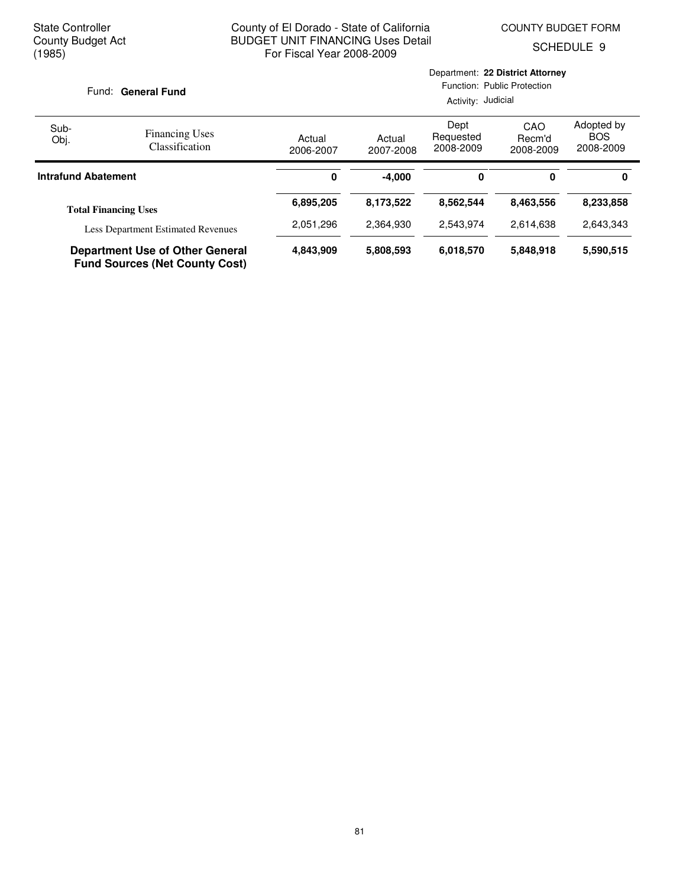Department: **22 District Attorney**

SCHEDULE 9

| Fund: General Fund |                                                                                 | Function: Public Protection<br>Activity: Judicial |                     |                                |                            |                                       |
|--------------------|---------------------------------------------------------------------------------|---------------------------------------------------|---------------------|--------------------------------|----------------------------|---------------------------------------|
| Sub-<br>Obj.       | <b>Financing Uses</b><br><b>Classification</b>                                  | Actual<br>2006-2007                               | Actual<br>2007-2008 | Dept<br>Requested<br>2008-2009 | CAO<br>Recm'd<br>2008-2009 | Adopted by<br><b>BOS</b><br>2008-2009 |
|                    | <b>Intrafund Abatement</b>                                                      | 0                                                 | $-4,000$            | 0                              | 0                          | 0                                     |
|                    | <b>Total Financing Uses</b>                                                     | 6,895,205                                         | 8,173,522           | 8,562,544                      | 8,463,556                  | 8,233,858                             |
|                    | <b>Less Department Estimated Revenues</b>                                       | 2,051,296                                         | 2,364,930           | 2,543,974                      | 2,614,638                  | 2,643,343                             |
|                    | <b>Department Use of Other General</b><br><b>Fund Sources (Net County Cost)</b> | 4,843,909                                         | 5,808,593           | 6.018,570                      | 5.848.918                  | 5,590,515                             |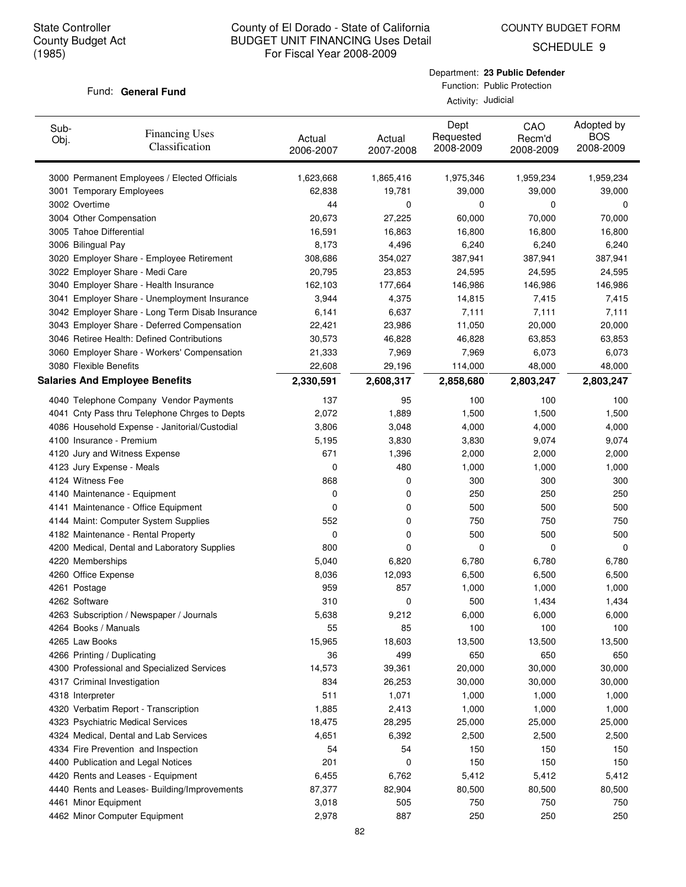COUNTY BUDGET FORM

SCHEDULE 9

#### Fund: General Fund

Department: **23 Public Defender** Function: Public Protection

| Sub-<br>Obj. | <b>Financing Uses</b><br>Classification         | Actual<br>2006-2007 | Actual<br>2007-2008 | Dept<br>Requested<br>2008-2009 | CAO<br>Recm'd<br>2008-2009 | Adopted by<br><b>BOS</b><br>2008-2009 |
|--------------|-------------------------------------------------|---------------------|---------------------|--------------------------------|----------------------------|---------------------------------------|
|              | 3000 Permanent Employees / Elected Officials    | 1,623,668           | 1,865,416           | 1,975,346                      | 1,959,234                  | 1,959,234                             |
|              | 3001 Temporary Employees                        | 62,838              | 19,781              | 39,000                         | 39,000                     | 39,000                                |
|              | 3002 Overtime                                   | 44                  | 0                   | 0                              | 0                          | 0                                     |
|              | 3004 Other Compensation                         | 20,673              | 27,225              | 60,000                         | 70,000                     | 70,000                                |
|              | 3005 Tahoe Differential                         | 16,591              | 16,863              | 16,800                         | 16,800                     | 16,800                                |
|              | 3006 Bilingual Pay                              | 8,173               | 4,496               | 6,240                          | 6,240                      | 6,240                                 |
|              | 3020 Employer Share - Employee Retirement       | 308,686             | 354,027             | 387,941                        | 387,941                    | 387,941                               |
|              | 3022 Employer Share - Medi Care                 | 20,795              | 23,853              | 24,595                         | 24,595                     | 24,595                                |
|              | 3040 Employer Share - Health Insurance          | 162,103             | 177,664             | 146,986                        | 146,986                    | 146,986                               |
|              | 3041 Employer Share - Unemployment Insurance    | 3,944               | 4,375               | 14,815                         | 7,415                      | 7,415                                 |
|              | 3042 Employer Share - Long Term Disab Insurance | 6,141               | 6,637               | 7,111                          | 7,111                      | 7,111                                 |
|              | 3043 Employer Share - Deferred Compensation     | 22,421              | 23,986              | 11,050                         | 20,000                     | 20,000                                |
|              | 3046 Retiree Health: Defined Contributions      | 30,573              | 46,828              | 46,828                         | 63,853                     | 63,853                                |
|              | 3060 Employer Share - Workers' Compensation     | 21,333              | 7,969               | 7,969                          | 6,073                      | 6,073                                 |
|              | 3080 Flexible Benefits                          | 22,608              | 29,196              | 114,000                        | 48,000                     | 48,000                                |
|              | <b>Salaries And Employee Benefits</b>           | 2,330,591           | 2,608,317           | 2,858,680                      | 2,803,247                  | 2,803,247                             |
|              | 4040 Telephone Company Vendor Payments          | 137                 | 95                  | 100                            | 100                        | 100                                   |
|              | 4041 Cnty Pass thru Telephone Chrges to Depts   | 2,072               | 1,889               | 1,500                          | 1,500                      | 1,500                                 |
|              | 4086 Household Expense - Janitorial/Custodial   | 3,806               | 3,048               | 4,000                          | 4,000                      | 4,000                                 |
|              | 4100 Insurance - Premium                        | 5,195               | 3,830               | 3,830                          | 9,074                      | 9,074                                 |
|              | 4120 Jury and Witness Expense                   | 671                 | 1,396               | 2,000                          | 2,000                      | 2,000                                 |
|              | 4123 Jury Expense - Meals                       | 0                   | 480                 | 1,000                          | 1,000                      | 1,000                                 |
|              | 4124 Witness Fee                                | 868                 | 0                   | 300                            | 300                        | 300                                   |
|              | 4140 Maintenance - Equipment                    | 0                   | 0                   | 250                            | 250                        | 250                                   |
|              | 4141 Maintenance - Office Equipment             | 0                   | 0                   | 500                            | 500                        | 500                                   |
|              | 4144 Maint: Computer System Supplies            | 552                 | 0                   | 750                            | 750                        | 750                                   |
|              | 4182 Maintenance - Rental Property              | 0                   | 0                   | 500                            | 500                        | 500                                   |
|              | 4200 Medical, Dental and Laboratory Supplies    | 800                 | 0                   | 0                              | 0                          | 0                                     |
|              | 4220 Memberships                                | 5,040               | 6,820               | 6,780                          | 6,780                      | 6,780                                 |
|              | 4260 Office Expense                             | 8,036               | 12,093              | 6,500                          | 6,500                      | 6,500                                 |
|              | 4261 Postage                                    | 959                 | 857                 | 1,000                          | 1,000                      | 1,000                                 |
|              | 4262 Software                                   | 310                 | 0                   | 500                            | 1,434                      | 1,434                                 |
|              | 4263 Subscription / Newspaper / Journals        | 5,638               | 9,212               | 6,000                          | 6,000                      | 6,000                                 |
|              | 4264 Books / Manuals                            | 55                  | 85                  | 100                            | 100                        | 100                                   |
|              | 4265 Law Books                                  | 15,965              | 18,603              | 13,500                         | 13,500                     | 13,500                                |
|              | 4266 Printing / Duplicating                     | 36                  | 499                 | 650                            | 650                        | 650                                   |
|              | 4300 Professional and Specialized Services      | 14,573              | 39,361              | 20,000                         | 30,000                     | 30,000                                |
|              | 4317 Criminal Investigation                     | 834                 | 26,253              | 30,000                         | 30,000                     | 30,000                                |
|              | 4318 Interpreter                                | 511                 | 1,071               | 1,000                          | 1,000                      | 1,000                                 |
|              | 4320 Verbatim Report - Transcription            | 1,885               | 2,413               | 1,000                          | 1,000                      | 1,000                                 |
|              | 4323 Psychiatric Medical Services               | 18,475              | 28,295              | 25,000                         | 25,000                     | 25,000                                |
|              | 4324 Medical, Dental and Lab Services           | 4,651               | 6,392               | 2,500                          | 2,500                      | 2,500                                 |
|              | 4334 Fire Prevention and Inspection             | 54                  | 54                  | 150                            | 150                        | 150                                   |
|              | 4400 Publication and Legal Notices              | 201                 | 0                   | 150                            | 150                        | 150                                   |
|              | 4420 Rents and Leases - Equipment               | 6,455               | 6,762               | 5,412                          | 5,412                      | 5,412                                 |
|              | 4440 Rents and Leases- Building/Improvements    | 87,377              | 82,904              | 80,500                         | 80,500                     | 80,500                                |
|              | 4461 Minor Equipment                            | 3,018               | 505                 | 750                            | 750                        | 750                                   |
|              | 4462 Minor Computer Equipment                   | 2,978               | 887                 | 250                            | 250                        | 250                                   |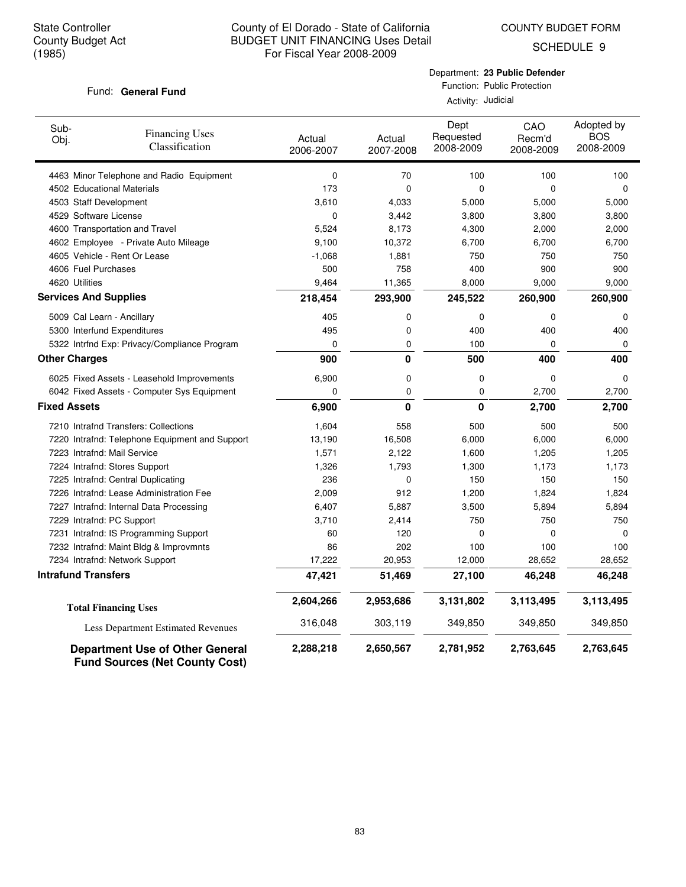COUNTY BUDGET FORM

SCHEDULE 9

## Fund: General Fund

Department: **23 Public Defender** Function: Public Protection

| Sub-<br>Obj.                 | <b>Financing Uses</b><br>Classification                                         | Actual<br>2006-2007 | Actual<br>2007-2008 | Dept<br>Requested<br>2008-2009 | CAO<br>Recm'd<br>2008-2009 | Adopted by<br><b>BOS</b><br>2008-2009 |
|------------------------------|---------------------------------------------------------------------------------|---------------------|---------------------|--------------------------------|----------------------------|---------------------------------------|
|                              | 4463 Minor Telephone and Radio Equipment                                        | 0                   | 70                  | 100                            | 100                        | 100                                   |
|                              | 4502 Educational Materials                                                      | 173                 | $\mathbf 0$         | 0                              | 0                          | $\mathbf 0$                           |
| 4503 Staff Development       |                                                                                 | 3,610               | 4,033               | 5,000                          | 5,000                      | 5,000                                 |
| 4529 Software License        |                                                                                 | 0                   | 3,442               | 3,800                          | 3,800                      | 3,800                                 |
|                              | 4600 Transportation and Travel                                                  | 5,524               | 8,173               | 4,300                          | 2,000                      | 2,000                                 |
|                              | 4602 Employee - Private Auto Mileage                                            | 9,100               | 10,372              | 6,700                          | 6,700                      | 6,700                                 |
|                              | 4605 Vehicle - Rent Or Lease                                                    | $-1,068$            | 1,881               | 750                            | 750                        | 750                                   |
| 4606 Fuel Purchases          |                                                                                 | 500                 | 758                 | 400                            | 900                        | 900                                   |
| 4620 Utilities               |                                                                                 | 9,464               | 11,365              | 8,000                          | 9,000                      | 9,000                                 |
| <b>Services And Supplies</b> |                                                                                 | 218,454             | 293,900             | 245,522                        | 260,900                    | 260,900                               |
| 5009 Cal Learn - Ancillary   |                                                                                 | 405                 | 0                   | 0                              | $\mathbf 0$                | 0                                     |
|                              | 5300 Interfund Expenditures                                                     | 495                 | $\mathbf 0$         | 400                            | 400                        | 400                                   |
|                              | 5322 Intrfnd Exp: Privacy/Compliance Program                                    | 0                   | 0                   | 100                            | $\Omega$                   | 0                                     |
| <b>Other Charges</b>         |                                                                                 | 900                 | 0                   | 500                            | 400                        | 400                                   |
|                              | 6025 Fixed Assets - Leasehold Improvements                                      | 6,900               | 0                   | 0                              | $\mathbf 0$                | 0                                     |
|                              | 6042 Fixed Assets - Computer Sys Equipment                                      | 0                   | 0                   | 0                              | 2,700                      | 2,700                                 |
| <b>Fixed Assets</b>          |                                                                                 | 6,900               | 0                   | 0                              | 2,700                      | 2,700                                 |
|                              | 7210 Intrafnd Transfers: Collections                                            | 1,604               | 558                 | 500                            | 500                        | 500                                   |
|                              | 7220 Intrafnd: Telephone Equipment and Support                                  | 13,190              | 16,508              | 6,000                          | 6,000                      | 6,000                                 |
| 7223 Intrafnd: Mail Service  |                                                                                 | 1,571               | 2,122               | 1,600                          | 1,205                      | 1,205                                 |
|                              | 7224 Intrafnd: Stores Support                                                   | 1,326               | 1,793               | 1,300                          | 1,173                      | 1,173                                 |
|                              | 7225 Intrafnd: Central Duplicating                                              | 236                 | 0                   | 150                            | 150                        | 150                                   |
|                              | 7226 Intrafnd: Lease Administration Fee                                         | 2,009               | 912                 | 1,200                          | 1,824                      | 1,824                                 |
|                              | 7227 Intrafnd: Internal Data Processing                                         | 6,407               | 5,887               | 3,500                          | 5,894                      | 5,894                                 |
| 7229 Intrafnd: PC Support    |                                                                                 | 3,710               | 2,414               | 750                            | 750                        | 750                                   |
|                              | 7231 Intrafnd: IS Programming Support                                           | 60                  | 120                 | 0                              | 0                          | 0                                     |
|                              | 7232 Intrafnd: Maint Bldg & Improvmnts                                          | 86                  | 202                 | 100                            | 100                        | 100                                   |
|                              | 7234 Intrafnd: Network Support                                                  | 17,222              | 20,953              | 12,000                         | 28,652                     | 28,652                                |
| <b>Intrafund Transfers</b>   |                                                                                 | 47,421              | 51,469              | 27,100                         | 46,248                     | 46,248                                |
|                              | <b>Total Financing Uses</b>                                                     | 2,604,266           | 2,953,686           | 3,131,802                      | 3,113,495                  | 3,113,495                             |
|                              | Less Department Estimated Revenues                                              | 316,048             | 303,119             | 349,850                        | 349,850                    | 349,850                               |
|                              | <b>Department Use of Other General</b><br><b>Fund Sources (Net County Cost)</b> | 2,288,218           | 2,650,567           | 2,781,952                      | 2,763,645                  | 2,763,645                             |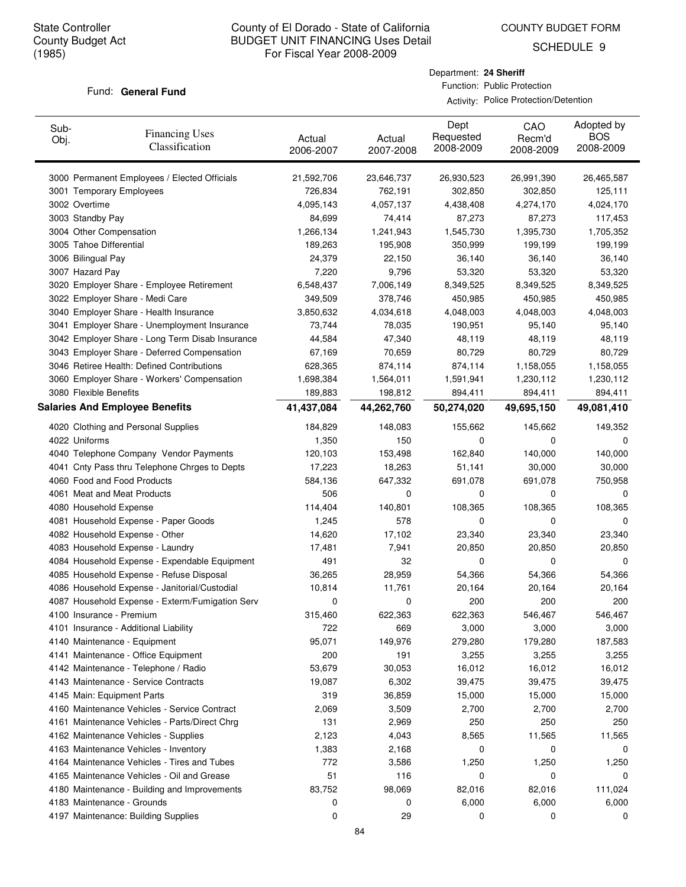COUNTY BUDGET FORM

SCHEDULE 9

#### Fund: General Fund

Department: **24 Sheriff** Function: Public Protection

Activity: Police Protection/Detention

| Sub-<br>Obj. | <b>Financing Uses</b><br>Classification         | Actual<br>2006-2007 | Actual<br>2007-2008 | Dept<br>Requested<br>2008-2009 | CAO<br>Recm'd<br>2008-2009 | Adopted by<br><b>BOS</b><br>2008-2009 |
|--------------|-------------------------------------------------|---------------------|---------------------|--------------------------------|----------------------------|---------------------------------------|
|              | 3000 Permanent Employees / Elected Officials    | 21,592,706          | 23,646,737          | 26,930,523                     | 26,991,390                 | 26,465,587                            |
|              | 3001 Temporary Employees                        | 726,834             | 762,191             | 302,850                        | 302,850                    | 125,111                               |
|              | 3002 Overtime                                   | 4,095,143           | 4,057,137           | 4,438,408                      | 4,274,170                  | 4,024,170                             |
|              | 3003 Standby Pay                                | 84,699              | 74,414              | 87,273                         | 87,273                     | 117,453                               |
|              | 3004 Other Compensation                         | 1,266,134           | 1,241,943           | 1,545,730                      | 1,395,730                  | 1,705,352                             |
|              | 3005 Tahoe Differential                         | 189,263             | 195,908             | 350,999                        | 199,199                    | 199,199                               |
|              | 3006 Bilingual Pay                              | 24,379              | 22,150              | 36,140                         | 36,140                     | 36,140                                |
|              | 3007 Hazard Pay                                 | 7,220               | 9,796               | 53,320                         | 53,320                     | 53,320                                |
|              | 3020 Employer Share - Employee Retirement       | 6,548,437           | 7,006,149           | 8,349,525                      | 8,349,525                  | 8,349,525                             |
|              | 3022 Employer Share - Medi Care                 | 349,509             | 378,746             | 450,985                        | 450,985                    | 450,985                               |
|              | 3040 Employer Share - Health Insurance          | 3,850,632           | 4,034,618           | 4,048,003                      | 4,048,003                  | 4,048,003                             |
|              | 3041 Employer Share - Unemployment Insurance    | 73,744              | 78,035              | 190,951                        | 95,140                     | 95,140                                |
|              | 3042 Employer Share - Long Term Disab Insurance | 44,584              | 47,340              | 48,119                         | 48,119                     | 48,119                                |
|              | 3043 Employer Share - Deferred Compensation     | 67,169              | 70,659              | 80,729                         | 80,729                     | 80,729                                |
|              | 3046 Retiree Health: Defined Contributions      | 628,365             | 874,114             | 874,114                        | 1,158,055                  | 1,158,055                             |
|              | 3060 Employer Share - Workers' Compensation     | 1,698,384           | 1,564,011           | 1,591,941                      | 1,230,112                  | 1,230,112                             |
|              | 3080 Flexible Benefits                          | 189,883             | 198,812             | 894,411                        | 894,411                    | 894,411                               |
|              | <b>Salaries And Employee Benefits</b>           | 41,437,084          | 44,262,760          | 50,274,020                     | 49,695,150                 | 49,081,410                            |
|              | 4020 Clothing and Personal Supplies             | 184,829             | 148,083             | 155,662                        | 145,662                    | 149,352                               |
|              | 4022 Uniforms                                   | 1,350               | 150                 | 0                              | 0                          | 0                                     |
|              | 4040 Telephone Company Vendor Payments          | 120,103             | 153,498             | 162,840                        | 140,000                    | 140,000                               |
|              | 4041 Cnty Pass thru Telephone Chrges to Depts   | 17,223              | 18,263              | 51,141                         | 30,000                     | 30,000                                |
|              | 4060 Food and Food Products                     | 584,136             | 647,332             | 691,078                        | 691,078                    | 750,958                               |
|              | 4061 Meat and Meat Products                     | 506                 | 0                   | 0                              | 0                          | 0                                     |
|              | 4080 Household Expense                          | 114,404             | 140,801             | 108,365                        | 108,365                    | 108,365                               |
|              | 4081 Household Expense - Paper Goods            | 1,245               | 578                 | 0                              | 0                          | 0                                     |
|              | 4082 Household Expense - Other                  | 14,620              | 17,102              | 23,340                         | 23,340                     | 23,340                                |
|              | 4083 Household Expense - Laundry                | 17,481              | 7,941               | 20,850                         | 20,850                     | 20,850                                |
|              | 4084 Household Expense - Expendable Equipment   | 491                 | 32                  | 0                              | 0                          | 0                                     |
|              | 4085 Household Expense - Refuse Disposal        | 36,265              | 28,959              | 54,366                         | 54,366                     | 54,366                                |
|              | 4086 Household Expense - Janitorial/Custodial   | 10,814              | 11,761              | 20,164                         | 20,164                     | 20,164                                |
|              | 4087 Household Expense - Exterm/Fumigation Serv | 0                   | 0                   | 200                            | 200                        | 200                                   |
|              | 4100 Insurance - Premium                        | 315,460             | 622,363             | 622,363                        | 546,467                    | 546,467                               |
|              | 4101 Insurance - Additional Liability           | 722                 | 669                 | 3,000                          | 3,000                      | 3,000                                 |
|              | 4140 Maintenance - Equipment                    | 95,071              | 149,976             | 279,280                        | 179,280                    | 187,583                               |
|              | 4141 Maintenance - Office Equipment             | 200                 | 191                 | 3,255                          | 3,255                      | 3,255                                 |
|              | 4142 Maintenance - Telephone / Radio            | 53,679              | 30,053              | 16,012                         | 16,012                     | 16,012                                |
|              | 4143 Maintenance - Service Contracts            | 19,087              | 6,302               | 39,475                         | 39,475                     | 39,475                                |
|              | 4145 Main: Equipment Parts                      | 319                 | 36,859              | 15,000                         | 15,000                     | 15,000                                |
|              | 4160 Maintenance Vehicles - Service Contract    | 2,069               | 3,509               | 2,700                          | 2,700                      | 2,700                                 |
|              | 4161 Maintenance Vehicles - Parts/Direct Chrg   | 131                 | 2,969               | 250                            | 250                        | 250                                   |
|              | 4162 Maintenance Vehicles - Supplies            | 2,123               | 4,043               | 8,565                          | 11,565                     | 11,565                                |
|              | 4163 Maintenance Vehicles - Inventory           | 1,383               | 2,168               | 0                              | 0                          | 0                                     |
|              | 4164 Maintenance Vehicles - Tires and Tubes     | 772                 | 3,586               | 1,250                          | 1,250                      | 1,250                                 |
|              | 4165 Maintenance Vehicles - Oil and Grease      | 51                  | 116                 | 0                              | 0                          | 0                                     |
|              | 4180 Maintenance - Building and Improvements    | 83,752              | 98,069              | 82,016                         | 82,016                     | 111,024                               |
|              | 4183 Maintenance - Grounds                      | 0                   | 0                   | 6,000                          | 6,000                      | 6,000                                 |
|              | 4197 Maintenance: Building Supplies             | 0                   | 29                  | 0                              | 0                          | 0                                     |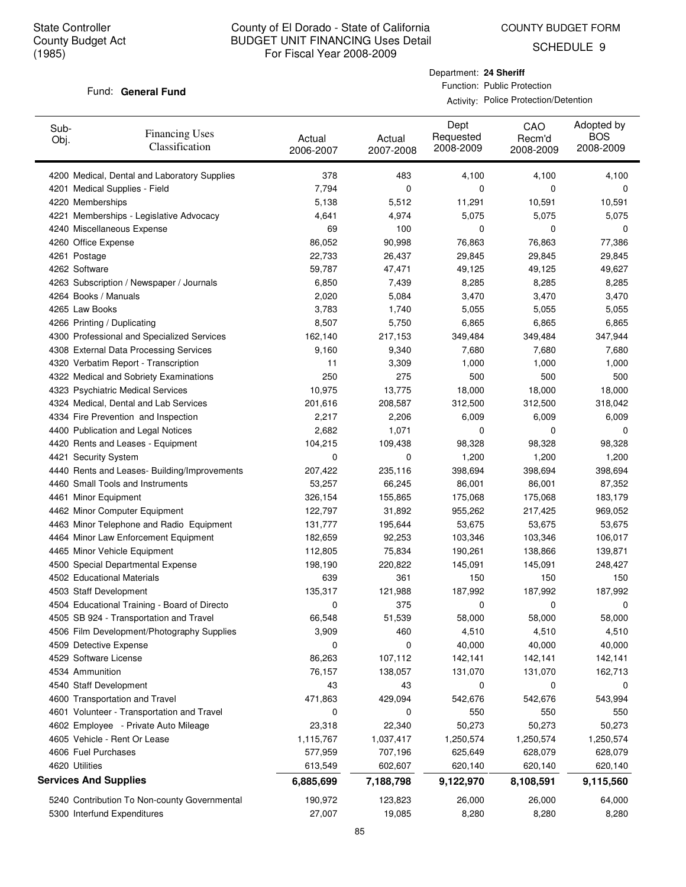COUNTY BUDGET FORM

SCHEDULE 9

#### Fund: General Fund

Department: **24 Sheriff** Function: Public Protection

Activity: Police Protection/Detention

| Sub-<br>Obj. | <b>Financing Uses</b><br>Classification      | Actual<br>2006-2007 | Actual<br>2007-2008 | Dept<br>Requested<br>2008-2009 | CAO<br>Recm'd<br>2008-2009 | Adopted by<br><b>BOS</b><br>2008-2009 |
|--------------|----------------------------------------------|---------------------|---------------------|--------------------------------|----------------------------|---------------------------------------|
|              | 4200 Medical, Dental and Laboratory Supplies | 378                 | 483                 | 4,100                          | 4,100                      | 4,100                                 |
|              | 4201 Medical Supplies - Field                | 7,794               | 0                   | 0                              | 0                          | 0                                     |
|              | 4220 Memberships                             | 5,138               | 5,512               | 11,291                         | 10,591                     | 10,591                                |
|              | 4221 Memberships - Legislative Advocacy      | 4,641               | 4,974               | 5,075                          | 5,075                      | 5,075                                 |
|              | 4240 Miscellaneous Expense                   | 69                  | 100                 | 0                              | 0                          | 0                                     |
|              | 4260 Office Expense                          | 86,052              | 90,998              | 76,863                         | 76,863                     | 77,386                                |
|              | 4261 Postage                                 | 22,733              | 26,437              | 29,845                         | 29,845                     | 29,845                                |
|              | 4262 Software                                | 59,787              | 47,471              | 49,125                         | 49,125                     | 49,627                                |
|              | 4263 Subscription / Newspaper / Journals     | 6,850               | 7,439               | 8,285                          | 8,285                      | 8,285                                 |
|              | 4264 Books / Manuals                         | 2,020               | 5,084               | 3,470                          | 3,470                      | 3,470                                 |
|              | 4265 Law Books                               | 3,783               | 1,740               | 5,055                          | 5,055                      | 5,055                                 |
|              | 4266 Printing / Duplicating                  | 8,507               | 5,750               | 6,865                          | 6,865                      | 6,865                                 |
|              | 4300 Professional and Specialized Services   | 162,140             | 217,153             | 349,484                        | 349,484                    | 347,944                               |
|              | 4308 External Data Processing Services       | 9,160               | 9,340               | 7,680                          | 7,680                      | 7,680                                 |
|              | 4320 Verbatim Report - Transcription         | 11                  | 3,309               | 1,000                          | 1,000                      | 1,000                                 |
|              | 4322 Medical and Sobriety Examinations       | 250                 | 275                 | 500                            | 500                        | 500                                   |
|              | 4323 Psychiatric Medical Services            | 10,975              | 13,775              | 18,000                         | 18,000                     | 18,000                                |
|              | 4324 Medical, Dental and Lab Services        | 201,616             | 208,587             | 312,500                        | 312,500                    | 318,042                               |
|              | 4334 Fire Prevention and Inspection          | 2,217               | 2,206               | 6,009                          | 6,009                      | 6,009                                 |
|              | 4400 Publication and Legal Notices           | 2,682               | 1,071               | 0                              | 0                          | 0                                     |
|              | 4420 Rents and Leases - Equipment            | 104,215             | 109,438             | 98,328                         | 98,328                     | 98,328                                |
|              | 4421 Security System                         | 0                   | 0                   | 1,200                          | 1,200                      | 1,200                                 |
|              | 4440 Rents and Leases- Building/Improvements | 207,422             | 235,116             | 398,694                        | 398,694                    | 398,694                               |
|              | 4460 Small Tools and Instruments             | 53,257              | 66,245              | 86,001                         | 86,001                     | 87,352                                |
|              | 4461 Minor Equipment                         | 326,154             | 155,865             | 175,068                        | 175,068                    | 183,179                               |
|              | 4462 Minor Computer Equipment                | 122,797             | 31,892              | 955,262                        | 217,425                    | 969,052                               |
|              | 4463 Minor Telephone and Radio Equipment     | 131,777             | 195,644             | 53,675                         | 53,675                     | 53,675                                |
|              | 4464 Minor Law Enforcement Equipment         | 182,659             | 92,253              | 103,346                        | 103,346                    | 106,017                               |
|              | 4465 Minor Vehicle Equipment                 | 112,805             | 75,834              | 190,261                        | 138,866                    | 139,871                               |
|              | 4500 Special Departmental Expense            | 198,190             | 220,822             | 145,091                        | 145,091                    | 248,427                               |
|              | 4502 Educational Materials                   | 639                 | 361                 | 150                            | 150                        | 150                                   |
|              | 4503 Staff Development                       | 135,317             | 121,988             | 187,992                        | 187,992                    | 187,992                               |
|              | 4504 Educational Training - Board of Directo | 0                   | 375                 | 0                              | 0                          | 0                                     |
|              | 4505 SB 924 - Transportation and Travel      | 66,548              | 51,539              | 58,000                         | 58,000                     | 58,000                                |
|              | 4506 Film Development/Photography Supplies   | 3,909               | 460                 | 4,510                          | 4,510                      | 4,510                                 |
|              | 4509 Detective Expense                       | 0                   | 0                   | 40,000                         | 40,000                     | 40,000                                |
|              | 4529 Software License                        | 86,263              | 107,112             | 142,141                        | 142,141                    | 142,141                               |
|              | 4534 Ammunition                              | 76,157              | 138,057             | 131,070                        | 131,070                    | 162,713                               |
|              | 4540 Staff Development                       | 43                  | 43                  | 0                              | 0                          | 0                                     |
|              | 4600 Transportation and Travel               | 471,863             | 429,094             | 542,676                        | 542,676                    | 543,994                               |
|              | 4601 Volunteer - Transportation and Travel   | 0                   | 0                   | 550                            | 550                        | 550                                   |
|              | 4602 Employee - Private Auto Mileage         | 23,318              | 22,340              | 50,273                         | 50,273                     | 50,273                                |
|              | 4605 Vehicle - Rent Or Lease                 | 1,115,767           | 1,037,417           | 1,250,574                      | 1,250,574                  | 1,250,574                             |
|              | 4606 Fuel Purchases                          | 577,959             | 707,196             | 625,649                        | 628,079                    | 628,079                               |
|              | 4620 Utilities                               | 613,549             | 602,607             | 620,140                        | 620,140                    | 620,140                               |
|              | <b>Services And Supplies</b>                 | 6,885,699           | 7,188,798           | 9,122,970                      | 8,108,591                  | 9,115,560                             |
|              | 5240 Contribution To Non-county Governmental | 190,972             | 123,823             | 26,000                         | 26,000                     | 64,000                                |
|              | 5300 Interfund Expenditures                  | 27,007              | 19,085              | 8,280                          | 8,280                      | 8,280                                 |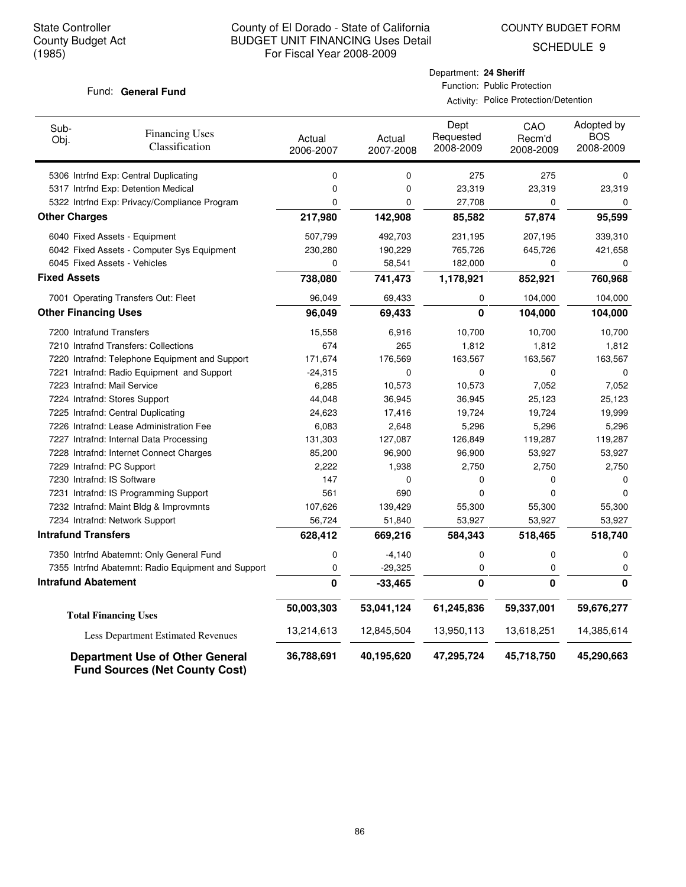COUNTY BUDGET FORM

SCHEDULE 9

#### Fund: General Fund

## Department: **24 Sheriff** Function: Public Protection

Activity: Police Protection/Detention

| Sub-<br>Obj.                | <b>Financing Uses</b><br>Classification                                         | Actual<br>2006-2007 | Actual<br>2007-2008 | Dept<br>Requested<br>2008-2009 | CAO<br>Recm'd<br>2008-2009 | Adopted by<br><b>BOS</b><br>2008-2009 |
|-----------------------------|---------------------------------------------------------------------------------|---------------------|---------------------|--------------------------------|----------------------------|---------------------------------------|
|                             | 5306 Intrfnd Exp: Central Duplicating                                           | 0                   | 0                   | 275                            | 275                        | 0                                     |
|                             | 5317 Intrfnd Exp: Detention Medical                                             | 0                   | 0                   | 23,319                         | 23,319                     | 23,319                                |
|                             | 5322 Intrfnd Exp: Privacy/Compliance Program                                    | 0                   | 0                   | 27,708                         | 0                          | 0                                     |
| <b>Other Charges</b>        |                                                                                 | 217,980             | 142,908             | 85,582                         | 57,874                     | 95,599                                |
|                             | 6040 Fixed Assets - Equipment                                                   | 507,799             | 492,703             | 231,195                        | 207,195                    | 339,310                               |
|                             | 6042 Fixed Assets - Computer Sys Equipment                                      | 230,280             | 190,229             | 765,726                        | 645,726                    | 421,658                               |
|                             | 6045 Fixed Assets - Vehicles                                                    | 0                   | 58,541              | 182,000                        | 0                          | 0                                     |
| <b>Fixed Assets</b>         |                                                                                 | 738,080             | 741,473             | 1,178,921                      | 852,921                    | 760,968                               |
|                             | 7001 Operating Transfers Out: Fleet                                             | 96,049              | 69,433              | 0                              | 104,000                    | 104,000                               |
| <b>Other Financing Uses</b> |                                                                                 | 96,049              | 69,433              | $\bf{0}$                       | 104,000                    | 104,000                               |
| 7200 Intrafund Transfers    |                                                                                 | 15,558              | 6,916               | 10,700                         | 10,700                     | 10,700                                |
|                             | 7210 Intrafnd Transfers: Collections                                            | 674                 | 265                 | 1,812                          | 1,812                      | 1,812                                 |
|                             | 7220 Intrafnd: Telephone Equipment and Support                                  | 171,674             | 176,569             | 163,567                        | 163,567                    | 163,567                               |
|                             | 7221 Intrafnd: Radio Equipment and Support                                      | $-24,315$           | 0                   | 0                              | 0                          | $\mathbf 0$                           |
|                             | 7223 Intrafnd: Mail Service                                                     | 6,285               | 10,573              | 10,573                         | 7,052                      | 7,052                                 |
|                             | 7224 Intrafnd: Stores Support                                                   | 44,048              | 36,945              | 36,945                         | 25,123                     | 25,123                                |
|                             | 7225 Intrafnd: Central Duplicating                                              | 24,623              | 17,416              | 19,724                         | 19,724                     | 19,999                                |
|                             | 7226 Intrafnd: Lease Administration Fee                                         | 6,083               | 2,648               | 5,296                          | 5,296                      | 5,296                                 |
|                             | 7227 Intrafnd: Internal Data Processing                                         | 131,303             | 127,087             | 126,849                        | 119,287                    | 119,287                               |
|                             | 7228 Intrafnd: Internet Connect Charges                                         | 85,200              | 96,900              | 96,900                         | 53,927                     | 53,927                                |
| 7229 Intrafnd: PC Support   |                                                                                 | 2,222               | 1,938               | 2,750                          | 2,750                      | 2,750                                 |
| 7230 Intrafnd: IS Software  |                                                                                 | 147                 | 0                   | 0                              | 0                          | 0                                     |
|                             | 7231 Intrafnd: IS Programming Support                                           | 561                 | 690                 | 0                              | 0                          | $\mathbf 0$                           |
|                             | 7232 Intrafnd: Maint Bldg & Improvmnts                                          | 107,626             | 139,429             | 55,300                         | 55,300                     | 55,300                                |
|                             | 7234 Intrafnd: Network Support                                                  | 56,724              | 51,840              | 53,927                         | 53,927                     | 53,927                                |
| <b>Intrafund Transfers</b>  |                                                                                 | 628,412             | 669,216             | 584,343                        | 518,465                    | 518,740                               |
|                             | 7350 Intrfnd Abatemnt: Only General Fund                                        | 0                   | $-4,140$            | 0                              | 0                          | 0                                     |
|                             | 7355 Intrfnd Abatemnt: Radio Equipment and Support                              | 0                   | $-29,325$           | 0                              | 0                          | 0                                     |
| <b>Intrafund Abatement</b>  |                                                                                 | 0                   | $-33,465$           | 0                              | $\mathbf{0}$               | $\mathbf{0}$                          |
|                             | <b>Total Financing Uses</b>                                                     | 50,003,303          | 53,041,124          | 61,245,836                     | 59,337,001                 | 59,676,277                            |
|                             | Less Department Estimated Revenues                                              | 13,214,613          | 12,845,504          | 13,950,113                     | 13,618,251                 | 14,385,614                            |
|                             | <b>Department Use of Other General</b><br><b>Fund Sources (Net County Cost)</b> | 36,788,691          | 40,195,620          | 47,295,724                     | 45,718,750                 | 45,290,663                            |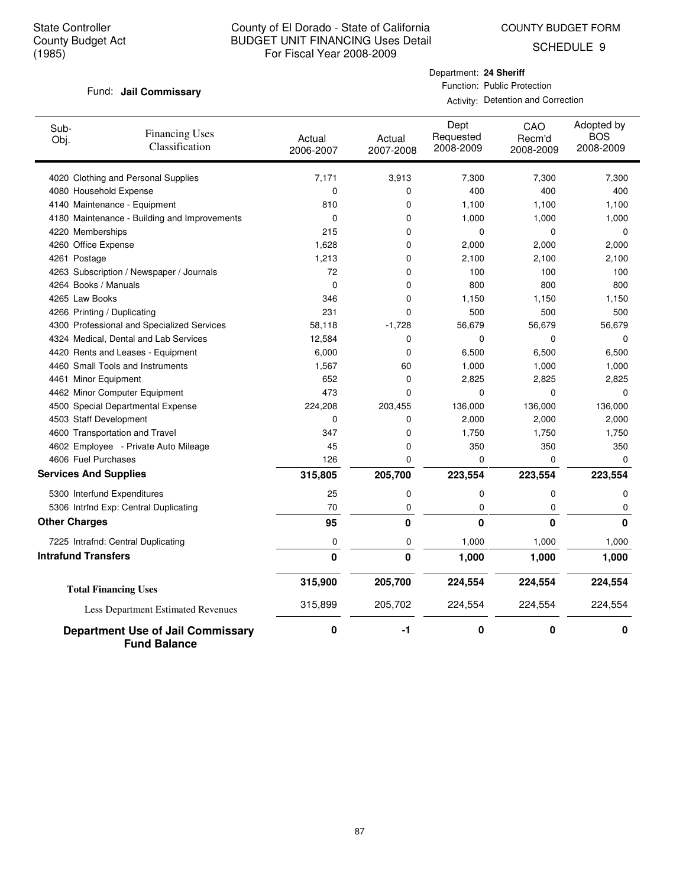COUNTY BUDGET FORM

SCHEDULE 9

#### Fund: Jail Commissary

Department: **24 Sheriff** Function: Public Protection

| Sub-<br>Obj.                 | <b>Financing Uses</b><br>Classification                         | Actual<br>2006-2007 | Actual<br>2007-2008 | Dept<br>Requested<br>2008-2009 | CAO<br>Recm'd<br>2008-2009 | Adopted by<br><b>BOS</b><br>2008-2009 |
|------------------------------|-----------------------------------------------------------------|---------------------|---------------------|--------------------------------|----------------------------|---------------------------------------|
|                              | 4020 Clothing and Personal Supplies                             | 7,171               | 3,913               | 7,300                          | 7,300                      | 7,300                                 |
| 4080 Household Expense       |                                                                 | 0                   | 0                   | 400                            | 400                        | 400                                   |
|                              | 4140 Maintenance - Equipment                                    | 810                 | 0                   | 1,100                          | 1,100                      | 1,100                                 |
|                              | 4180 Maintenance - Building and Improvements                    | $\mathbf 0$         | 0                   | 1,000                          | 1,000                      | 1,000                                 |
| 4220 Memberships             |                                                                 | 215                 | 0                   | 0                              | 0                          | $\mathbf 0$                           |
| 4260 Office Expense          |                                                                 | 1,628               | 0                   | 2,000                          | 2,000                      | 2,000                                 |
| 4261 Postage                 |                                                                 | 1,213               | 0                   | 2,100                          | 2,100                      | 2,100                                 |
|                              | 4263 Subscription / Newspaper / Journals                        | 72                  | 0                   | 100                            | 100                        | 100                                   |
| 4264 Books / Manuals         |                                                                 | $\mathbf 0$         | 0                   | 800                            | 800                        | 800                                   |
| 4265 Law Books               |                                                                 | 346                 | 0                   | 1,150                          | 1,150                      | 1,150                                 |
| 4266 Printing / Duplicating  |                                                                 | 231                 | 0                   | 500                            | 500                        | 500                                   |
|                              | 4300 Professional and Specialized Services                      | 58,118              | $-1,728$            | 56,679                         | 56,679                     | 56,679                                |
|                              | 4324 Medical, Dental and Lab Services                           | 12,584              | 0                   | 0                              | 0                          | $\Omega$                              |
|                              | 4420 Rents and Leases - Equipment                               | 6,000               | 0                   | 6,500                          | 6,500                      | 6,500                                 |
|                              | 4460 Small Tools and Instruments                                | 1,567               | 60                  | 1,000                          | 1,000                      | 1,000                                 |
| 4461 Minor Equipment         |                                                                 | 652                 | 0                   | 2,825                          | 2,825                      | 2,825                                 |
|                              | 4462 Minor Computer Equipment                                   | 473                 | 0                   | 0                              | 0                          | $\mathbf 0$                           |
|                              | 4500 Special Departmental Expense                               | 224,208             | 203,455             | 136,000                        | 136,000                    | 136,000                               |
| 4503 Staff Development       |                                                                 | $\mathbf 0$         | 0                   | 2,000                          | 2,000                      | 2,000                                 |
|                              | 4600 Transportation and Travel                                  | 347                 | 0                   | 1,750                          | 1,750                      | 1,750                                 |
|                              | 4602 Employee - Private Auto Mileage                            | 45                  | 0                   | 350                            | 350                        | 350                                   |
| 4606 Fuel Purchases          |                                                                 | 126                 | 0                   | 0                              | 0                          | 0                                     |
| <b>Services And Supplies</b> |                                                                 | 315,805             | 205,700             | 223,554                        | 223,554                    | 223,554                               |
|                              | 5300 Interfund Expenditures                                     | 25                  | 0                   | 0                              | 0                          | 0                                     |
|                              | 5306 Intrfnd Exp: Central Duplicating                           | 70                  | 0                   | 0                              | 0                          | 0                                     |
| <b>Other Charges</b>         |                                                                 | 95                  | $\mathbf 0$         | $\bf{0}$                       | $\bf{0}$                   | $\Omega$                              |
|                              | 7225 Intrafnd: Central Duplicating                              | 0                   | 0                   | 1,000                          | 1,000                      | 1,000                                 |
| <b>Intrafund Transfers</b>   |                                                                 | 0                   | $\mathbf{0}$        | 1,000                          | 1,000                      | 1,000                                 |
|                              | <b>Total Financing Uses</b>                                     | 315,900             | 205,700             | 224,554                        | 224,554                    | 224,554                               |
|                              | Less Department Estimated Revenues                              | 315,899             | 205,702             | 224,554                        | 224,554                    | 224,554                               |
|                              | <b>Department Use of Jail Commissary</b><br><b>Fund Balance</b> | 0                   | -1                  | 0                              | 0                          | 0                                     |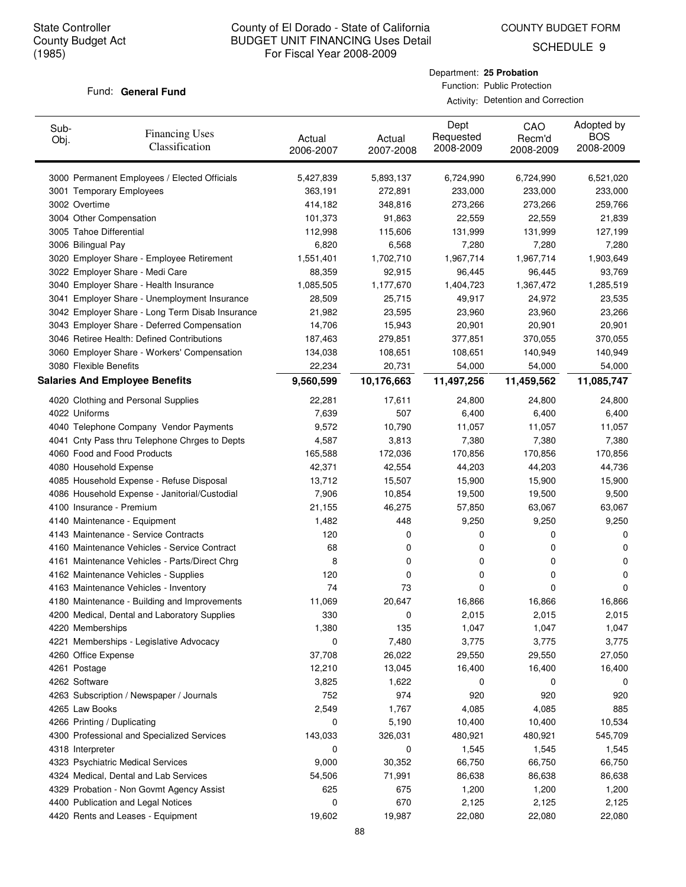COUNTY BUDGET FORM

SCHEDULE 9

#### Fund: General Fund

#### Department: **25 Probation** Function: Public Protection

| Sub-<br>Obj. | <b>Financing Uses</b><br>Classification         | Actual<br>2006-2007 | Actual<br>2007-2008 | Dept<br>Requested<br>2008-2009 | CAO<br>Recm'd<br>2008-2009 | Adopted by<br><b>BOS</b><br>2008-2009 |
|--------------|-------------------------------------------------|---------------------|---------------------|--------------------------------|----------------------------|---------------------------------------|
|              | 3000 Permanent Employees / Elected Officials    | 5,427,839           | 5,893,137           | 6,724,990                      | 6,724,990                  | 6,521,020                             |
|              | 3001 Temporary Employees                        | 363,191             | 272,891             | 233,000                        | 233,000                    | 233,000                               |
|              | 3002 Overtime                                   | 414,182             | 348,816             | 273,266                        | 273,266                    | 259,766                               |
|              | 3004 Other Compensation                         | 101,373             | 91,863              | 22,559                         | 22,559                     | 21,839                                |
|              | 3005 Tahoe Differential                         | 112,998             | 115,606             | 131,999                        | 131,999                    | 127,199                               |
|              | 3006 Bilingual Pay                              | 6,820               | 6,568               | 7,280                          | 7,280                      | 7,280                                 |
|              | 3020 Employer Share - Employee Retirement       | 1,551,401           | 1,702,710           | 1,967,714                      | 1,967,714                  | 1,903,649                             |
|              | 3022 Employer Share - Medi Care                 | 88,359              | 92,915              | 96,445                         | 96,445                     | 93,769                                |
|              | 3040 Employer Share - Health Insurance          | 1,085,505           | 1,177,670           | 1,404,723                      | 1,367,472                  | 1,285,519                             |
|              | 3041 Employer Share - Unemployment Insurance    | 28,509              | 25,715              | 49,917                         | 24,972                     | 23,535                                |
|              | 3042 Employer Share - Long Term Disab Insurance | 21,982              | 23,595              | 23,960                         | 23,960                     | 23,266                                |
|              | 3043 Employer Share - Deferred Compensation     | 14,706              | 15,943              | 20,901                         | 20,901                     | 20,901                                |
|              | 3046 Retiree Health: Defined Contributions      | 187,463             | 279,851             | 377,851                        | 370,055                    | 370,055                               |
|              | 3060 Employer Share - Workers' Compensation     | 134,038             | 108,651             | 108,651                        | 140,949                    | 140,949                               |
|              | 3080 Flexible Benefits                          | 22,234              | 20,731              | 54,000                         | 54,000                     | 54,000                                |
|              | <b>Salaries And Employee Benefits</b>           | 9,560,599           | 10,176,663          | 11,497,256                     | 11,459,562                 | 11,085,747                            |
|              | 4020 Clothing and Personal Supplies             | 22,281              | 17,611              | 24,800                         | 24,800                     | 24,800                                |
|              | 4022 Uniforms                                   | 7,639               | 507                 | 6,400                          | 6,400                      | 6,400                                 |
|              | 4040 Telephone Company Vendor Payments          | 9,572               | 10,790              | 11,057                         | 11,057                     | 11,057                                |
|              | 4041 Cnty Pass thru Telephone Chrges to Depts   | 4,587               | 3,813               | 7,380                          | 7,380                      | 7,380                                 |
|              | 4060 Food and Food Products                     | 165,588             | 172,036             | 170,856                        | 170,856                    | 170,856                               |
|              | 4080 Household Expense                          | 42,371              | 42,554              | 44,203                         | 44,203                     | 44,736                                |
|              | 4085 Household Expense - Refuse Disposal        | 13,712              | 15,507              | 15,900                         | 15,900                     | 15,900                                |
|              | 4086 Household Expense - Janitorial/Custodial   | 7,906               | 10,854              | 19,500                         | 19,500                     | 9,500                                 |
|              | 4100 Insurance - Premium                        | 21,155              | 46,275              | 57,850                         | 63,067                     | 63,067                                |
|              | 4140 Maintenance - Equipment                    | 1,482               | 448                 | 9,250                          | 9,250                      | 9,250                                 |
|              | 4143 Maintenance - Service Contracts            | 120                 | 0                   | 0                              | 0                          | 0                                     |
|              | 4160 Maintenance Vehicles - Service Contract    | 68                  | 0                   | 0                              | 0                          | 0                                     |
|              | 4161 Maintenance Vehicles - Parts/Direct Chrg   | 8                   | 0                   | 0                              | 0                          | 0                                     |
|              | 4162 Maintenance Vehicles - Supplies            | 120                 | 0                   | 0                              | 0                          | 0                                     |
|              | 4163 Maintenance Vehicles - Inventory           | 74                  | 73                  | 0                              | 0                          | 0                                     |
|              | 4180 Maintenance - Building and Improvements    | 11,069              | 20,647              | 16,866                         | 16,866                     | 16,866                                |
|              | 4200 Medical, Dental and Laboratory Supplies    | 330                 | 0                   | 2,015                          | 2,015                      | 2,015                                 |
|              | 4220 Memberships                                | 1,380               | 135                 | 1,047                          | 1,047                      | 1,047                                 |
|              | 4221 Memberships - Legislative Advocacy         | 0                   | 7,480               | 3,775                          | 3,775                      | 3,775                                 |
|              | 4260 Office Expense                             | 37,708              | 26,022              | 29,550                         | 29,550                     | 27,050                                |
|              | 4261 Postage                                    | 12,210              | 13,045              | 16,400                         | 16,400                     | 16,400                                |
|              | 4262 Software                                   | 3,825               | 1,622               | 0                              | 0                          | 0                                     |
|              | 4263 Subscription / Newspaper / Journals        | 752                 | 974                 | 920                            | 920                        | 920                                   |
|              | 4265 Law Books                                  | 2,549               | 1,767               | 4,085                          | 4,085                      | 885                                   |
|              | 4266 Printing / Duplicating                     | 0                   | 5,190               | 10,400                         | 10,400                     | 10,534                                |
|              | 4300 Professional and Specialized Services      | 143,033             | 326,031             | 480,921                        | 480,921                    | 545,709                               |
|              | 4318 Interpreter                                | 0                   | 0                   | 1,545                          | 1,545                      | 1,545                                 |
|              | 4323 Psychiatric Medical Services               | 9,000               | 30,352              | 66,750                         | 66,750                     | 66,750                                |
|              | 4324 Medical, Dental and Lab Services           | 54,506              | 71,991              | 86,638                         | 86,638                     | 86,638                                |
|              | 4329 Probation - Non Govmt Agency Assist        | 625                 | 675                 | 1,200                          | 1,200                      | 1,200                                 |
|              | 4400 Publication and Legal Notices              | 0                   | 670                 | 2,125                          | 2,125                      | 2,125                                 |
|              | 4420 Rents and Leases - Equipment               | 19,602              | 19,987              | 22,080                         | 22,080                     | 22,080                                |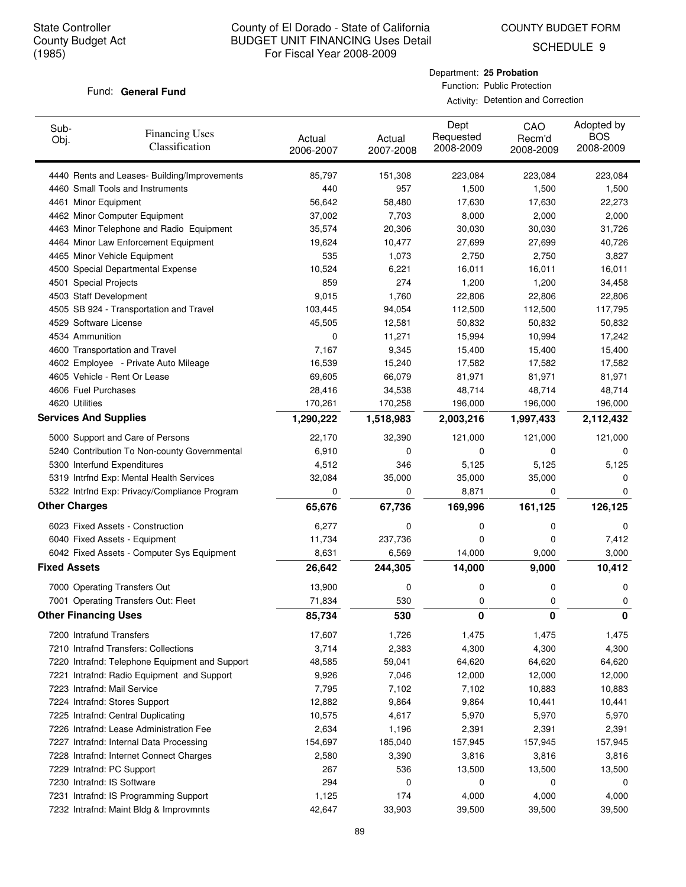COUNTY BUDGET FORM

SCHEDULE 9

#### Fund: General Fund

Department: **25 Probation** Function: Public Protection

| Sub-<br>Obj.        | <b>Financing Uses</b><br>Classification        | Actual<br>2006-2007 | Actual<br>2007-2008 | Dept<br>Requested<br>2008-2009 | CAO<br>Recm'd<br>2008-2009 | Adopted by<br><b>BOS</b><br>2008-2009 |
|---------------------|------------------------------------------------|---------------------|---------------------|--------------------------------|----------------------------|---------------------------------------|
|                     | 4440 Rents and Leases- Building/Improvements   | 85,797              | 151,308             | 223,084                        | 223,084                    | 223,084                               |
|                     | 4460 Small Tools and Instruments               | 440                 | 957                 | 1,500                          | 1,500                      | 1,500                                 |
|                     | 4461 Minor Equipment                           | 56,642              | 58,480              | 17,630                         | 17,630                     | 22,273                                |
|                     | 4462 Minor Computer Equipment                  | 37,002              | 7,703               | 8,000                          | 2,000                      | 2,000                                 |
|                     | 4463 Minor Telephone and Radio Equipment       | 35,574              | 20,306              | 30,030                         | 30,030                     | 31,726                                |
|                     | 4464 Minor Law Enforcement Equipment           | 19,624              | 10,477              | 27,699                         | 27,699                     | 40,726                                |
|                     | 4465 Minor Vehicle Equipment                   | 535                 | 1,073               | 2,750                          | 2,750                      | 3,827                                 |
|                     | 4500 Special Departmental Expense              | 10,524              | 6,221               | 16,011                         | 16,011                     | 16,011                                |
|                     | 4501 Special Projects                          | 859                 | 274                 | 1,200                          | 1,200                      | 34,458                                |
|                     | 4503 Staff Development                         | 9,015               | 1,760               | 22,806                         | 22,806                     | 22,806                                |
|                     | 4505 SB 924 - Transportation and Travel        | 103,445             | 94,054              | 112,500                        | 112,500                    | 117,795                               |
|                     | 4529 Software License                          | 45,505              | 12,581              | 50,832                         | 50,832                     | 50,832                                |
|                     | 4534 Ammunition                                | 0                   | 11,271              | 15,994                         | 10,994                     | 17,242                                |
|                     | 4600 Transportation and Travel                 | 7,167               | 9,345               | 15,400                         | 15,400                     | 15,400                                |
|                     | 4602 Employee - Private Auto Mileage           | 16,539              | 15,240              | 17,582                         | 17,582                     | 17,582                                |
|                     | 4605 Vehicle - Rent Or Lease                   | 69,605              | 66,079              | 81,971                         | 81,971                     | 81,971                                |
|                     | 4606 Fuel Purchases                            | 28,416              | 34,538              | 48,714                         | 48,714                     | 48,714                                |
|                     | 4620 Utilities                                 | 170,261             | 170,258             | 196,000                        | 196,000                    | 196,000                               |
|                     | <b>Services And Supplies</b>                   | 1,290,222           | 1,518,983           | 2,003,216                      | 1,997,433                  | 2,112,432                             |
|                     | 5000 Support and Care of Persons               | 22,170              | 32,390              | 121,000                        | 121,000                    | 121,000                               |
|                     | 5240 Contribution To Non-county Governmental   | 6,910               | 0                   | 0                              | 0                          | 0                                     |
|                     | 5300 Interfund Expenditures                    | 4,512               | 346                 | 5,125                          | 5,125                      | 5,125                                 |
|                     | 5319 Intrfnd Exp: Mental Health Services       | 32,084              | 35,000              | 35,000                         | 35,000                     | 0                                     |
|                     | 5322 Intrfnd Exp: Privacy/Compliance Program   | 0                   | 0                   | 8,871                          | 0                          | 0                                     |
|                     | <b>Other Charges</b>                           | 65,676              | 67,736              | 169,996                        | 161,125                    | 126,125                               |
|                     | 6023 Fixed Assets - Construction               | 6,277               | 0                   | 0                              | 0                          | 0                                     |
|                     | 6040 Fixed Assets - Equipment                  | 11,734              | 237,736             | 0                              | 0                          | 7,412                                 |
|                     | 6042 Fixed Assets - Computer Sys Equipment     | 8,631               | 6,569               | 14,000                         | 9,000                      | 3,000                                 |
| <b>Fixed Assets</b> |                                                | 26,642              | 244,305             | 14,000                         | 9,000                      | 10,412                                |
|                     | 7000 Operating Transfers Out                   | 13,900              | 0                   | 0                              | 0                          | 0                                     |
|                     | 7001 Operating Transfers Out: Fleet            | 71,834              | 530                 | 0                              | 0                          | 0                                     |
|                     | <b>Other Financing Uses</b>                    | 85,734              | 530                 | 0                              | 0                          | 0                                     |
|                     | 7200 Intrafund Transfers                       | 17,607              | 1,726               | 1,475                          | 1,475                      | 1,475                                 |
|                     | 7210 Intrafnd Transfers: Collections           | 3,714               | 2,383               | 4,300                          | 4,300                      | 4,300                                 |
|                     | 7220 Intrafnd: Telephone Equipment and Support | 48,585              | 59,041              | 64,620                         | 64,620                     | 64,620                                |
|                     | 7221 Intrafnd: Radio Equipment and Support     | 9,926               | 7,046               | 12,000                         | 12,000                     | 12,000                                |
|                     | 7223 Intrafnd: Mail Service                    | 7,795               | 7,102               | 7,102                          | 10,883                     | 10,883                                |
|                     | 7224 Intrafnd: Stores Support                  | 12,882              | 9,864               | 9,864                          | 10,441                     | 10,441                                |
|                     | 7225 Intrafnd: Central Duplicating             | 10,575              | 4,617               | 5,970                          | 5,970                      | 5,970                                 |
|                     | 7226 Intrafnd: Lease Administration Fee        | 2,634               | 1,196               | 2,391                          | 2,391                      | 2,391                                 |
|                     | 7227 Intrafnd: Internal Data Processing        | 154,697             | 185,040             | 157,945                        | 157,945                    | 157,945                               |
|                     | 7228 Intrafnd: Internet Connect Charges        | 2,580               | 3,390               | 3,816                          | 3,816                      | 3,816                                 |
|                     | 7229 Intrafnd: PC Support                      | 267                 | 536                 | 13,500                         | 13,500                     | 13,500                                |
|                     | 7230 Intrafnd: IS Software                     | 294                 | 0                   | 0                              | 0                          | 0                                     |
|                     | 7231 Intrafnd: IS Programming Support          | 1,125               | 174                 | 4,000                          | 4,000                      | 4,000                                 |
|                     | 7232 Intrafnd: Maint Bldg & Improvmnts         | 42,647              | 33,903              | 39,500                         | 39,500                     | 39,500                                |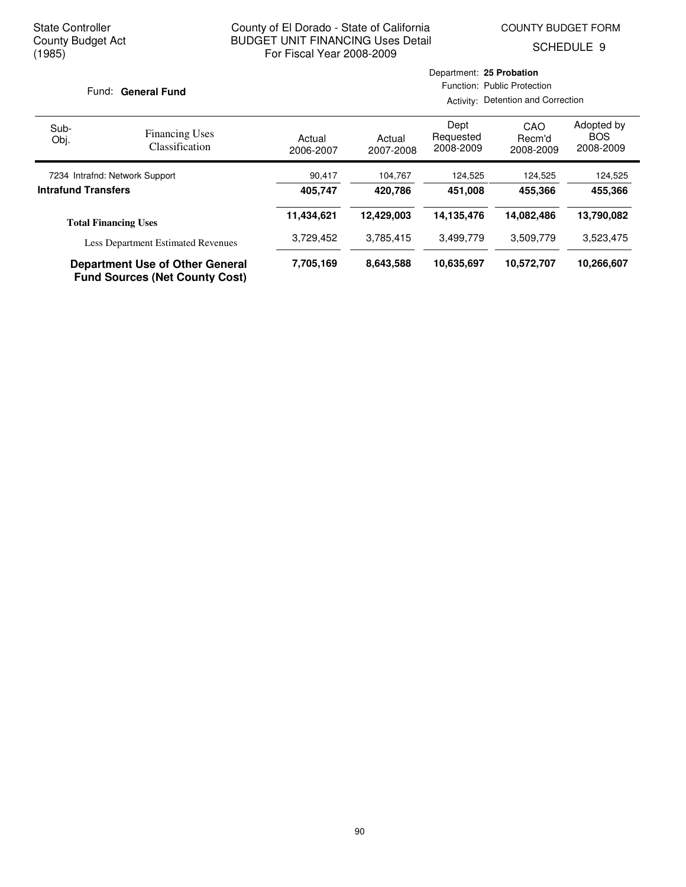COUNTY BUDGET FORM

SCHEDULE 9

#### Fund: General Fund

| Sub-<br>Obj.                                                 | <b>Financing Uses</b><br>Classification                                         | Actual<br>2006-2007 | Actual<br>2007-2008 | Dept<br>Requested<br>2008-2009 | CAO<br>Recm'd<br>2008-2009 | Adopted by<br><b>BOS</b><br>2008-2009 |
|--------------------------------------------------------------|---------------------------------------------------------------------------------|---------------------|---------------------|--------------------------------|----------------------------|---------------------------------------|
| 7234 Intrafnd: Network Support<br><b>Intrafund Transfers</b> |                                                                                 | 90,417              | 104,767             | 124,525                        | 124,525                    | 124,525                               |
|                                                              |                                                                                 | 405.747             | 420.786             | 451.008                        | 455.366                    | 455,366                               |
|                                                              | <b>Total Financing Uses</b>                                                     | 11,434,621          | 12.429.003          | 14,135,476                     | 14,082,486                 | 13,790,082                            |
|                                                              | <b>Less Department Estimated Revenues</b>                                       | 3,729,452           | 3,785,415           | 3,499,779                      | 3,509,779                  | 3,523,475                             |
|                                                              | <b>Department Use of Other General</b><br><b>Fund Sources (Net County Cost)</b> | 7,705,169           | 8,643,588           | 10,635,697                     | 10,572,707                 | 10,266,607                            |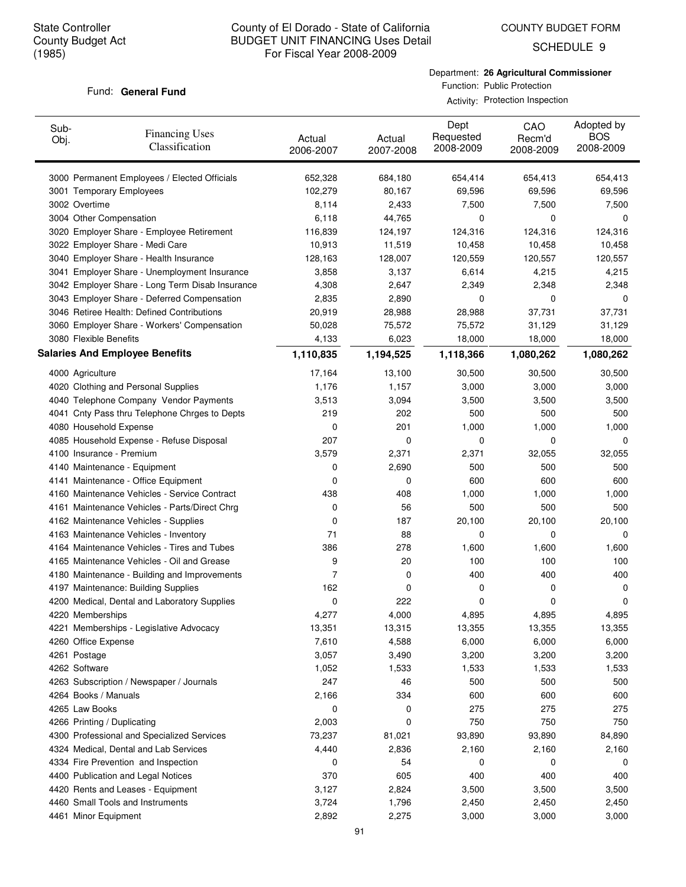# County of El Dorado - State of California BUDGET UNIT FINANCING Uses Detail For Fiscal Year 2008-2009

SCHEDULE 9

#### Fund: General Fund

Department: **26 Agricultural Commissioner** Function: Public Protection

|                         |                                                 | Activity: Protection Inspection<br>Dept<br>CAO<br>Requested<br>Recm'd<br>Actual<br>Actual<br>2008-2009<br>2007-2008<br>2006-2007<br>2008-2009<br>652,328<br>684,180<br>654,414<br>654,413<br>102,279<br>80,167<br>69,596<br>69,596<br>8,114<br>7,500<br>7,500<br>2,433<br>6,118<br>44,765<br>0<br>0<br>116,839<br>124,197<br>124,316<br>124,316<br>10,913<br>11,519<br>10,458<br>10,458<br>128,163<br>120,559<br>120,557<br>128,007<br>3,137<br>4,215<br>3,858<br>6,614<br>2,647<br>2,348<br>4,308<br>2,349<br>2,835<br>2,890<br>0<br>0<br>20,919<br>28,988<br>37,731<br>28,988<br>75,572<br>50,028<br>75,572<br>31,129<br>$\overline{1}$<br>0.000<br>1000<br>$\overline{\phantom{a}}$ |  |  |                                       |
|-------------------------|-------------------------------------------------|----------------------------------------------------------------------------------------------------------------------------------------------------------------------------------------------------------------------------------------------------------------------------------------------------------------------------------------------------------------------------------------------------------------------------------------------------------------------------------------------------------------------------------------------------------------------------------------------------------------------------------------------------------------------------------------|--|--|---------------------------------------|
| Sub-<br>Obj.            | <b>Financing Uses</b><br>Classification         |                                                                                                                                                                                                                                                                                                                                                                                                                                                                                                                                                                                                                                                                                        |  |  | Adopted by<br><b>BOS</b><br>2008-2009 |
|                         | 3000 Permanent Employees / Elected Officials    |                                                                                                                                                                                                                                                                                                                                                                                                                                                                                                                                                                                                                                                                                        |  |  | 654,413                               |
|                         | 3001 Temporary Employees                        |                                                                                                                                                                                                                                                                                                                                                                                                                                                                                                                                                                                                                                                                                        |  |  | 69,596                                |
|                         | 3002 Overtime                                   |                                                                                                                                                                                                                                                                                                                                                                                                                                                                                                                                                                                                                                                                                        |  |  | 7,500                                 |
| 3004 Other Compensation |                                                 |                                                                                                                                                                                                                                                                                                                                                                                                                                                                                                                                                                                                                                                                                        |  |  | 0                                     |
|                         | 3020 Employer Share - Employee Retirement       |                                                                                                                                                                                                                                                                                                                                                                                                                                                                                                                                                                                                                                                                                        |  |  | 124,316                               |
|                         | 3022 Employer Share - Medi Care                 |                                                                                                                                                                                                                                                                                                                                                                                                                                                                                                                                                                                                                                                                                        |  |  | 10,458                                |
|                         | 3040 Employer Share - Health Insurance          |                                                                                                                                                                                                                                                                                                                                                                                                                                                                                                                                                                                                                                                                                        |  |  | 120,557                               |
|                         | 3041 Employer Share - Unemployment Insurance    |                                                                                                                                                                                                                                                                                                                                                                                                                                                                                                                                                                                                                                                                                        |  |  | 4,215                                 |
|                         | 3042 Employer Share - Long Term Disab Insurance |                                                                                                                                                                                                                                                                                                                                                                                                                                                                                                                                                                                                                                                                                        |  |  | 2,348                                 |
|                         | 3043 Employer Share - Deferred Compensation     |                                                                                                                                                                                                                                                                                                                                                                                                                                                                                                                                                                                                                                                                                        |  |  | 0                                     |
|                         | 3046 Retiree Health: Defined Contributions      |                                                                                                                                                                                                                                                                                                                                                                                                                                                                                                                                                                                                                                                                                        |  |  | 37,731                                |
|                         | 3060 Employer Share - Workers' Compensation     |                                                                                                                                                                                                                                                                                                                                                                                                                                                                                                                                                                                                                                                                                        |  |  | 31,129                                |
|                         | $\sim$ $\sim$ $\sim$ $\sim$ $\sim$ $\sim$       |                                                                                                                                                                                                                                                                                                                                                                                                                                                                                                                                                                                                                                                                                        |  |  | $\overline{a}$                        |

| 3060 Employer Share - Workers' Compensation   | 50,028         | 75,572    | 75,572    | 31,129    | 31,129      |
|-----------------------------------------------|----------------|-----------|-----------|-----------|-------------|
| 3080 Flexible Benefits                        | 4,133          | 6,023     | 18,000    | 18,000    | 18,000      |
| <b>Salaries And Employee Benefits</b>         | 1,110,835      | 1,194,525 | 1,118,366 | 1,080,262 | 1,080,262   |
| 4000 Agriculture                              | 17,164         | 13,100    | 30,500    | 30,500    | 30,500      |
| 4020 Clothing and Personal Supplies           | 1,176          | 1,157     | 3,000     | 3,000     | 3,000       |
| 4040 Telephone Company Vendor Payments        | 3,513          | 3,094     | 3,500     | 3,500     | 3,500       |
| 4041 Cnty Pass thru Telephone Chrges to Depts | 219            | 202       | 500       | 500       | 500         |
| 4080 Household Expense                        | 0              | 201       | 1,000     | 1,000     | 1,000       |
| 4085 Household Expense - Refuse Disposal      | 207            | 0         | 0         | 0         | 0           |
| 4100 Insurance - Premium                      | 3,579          | 2,371     | 2,371     | 32,055    | 32,055      |
| 4140 Maintenance - Equipment                  | 0              | 2,690     | 500       | 500       | 500         |
| 4141 Maintenance - Office Equipment           | 0              | 0         | 600       | 600       | 600         |
| 4160 Maintenance Vehicles - Service Contract  | 438            | 408       | 1,000     | 1,000     | 1,000       |
| 4161 Maintenance Vehicles - Parts/Direct Chrg | 0              | 56        | 500       | 500       | 500         |
| 4162 Maintenance Vehicles - Supplies          | 0              | 187       | 20,100    | 20,100    | 20,100      |
| 4163 Maintenance Vehicles - Inventory         | 71             | 88        | 0         | 0         | 0           |
| 4164 Maintenance Vehicles - Tires and Tubes   | 386            | 278       | 1,600     | 1,600     | 1,600       |
| 4165 Maintenance Vehicles - Oil and Grease    | 9              | 20        | 100       | 100       | 100         |
| 4180 Maintenance - Building and Improvements  | $\overline{7}$ | 0         | 400       | 400       | 400         |
| 4197 Maintenance: Building Supplies           | 162            | 0         | 0         | 0         | $\mathbf 0$ |
| 4200 Medical, Dental and Laboratory Supplies  | 0              | 222       | 0         | 0         | 0           |
| 4220 Memberships                              | 4,277          | 4,000     | 4,895     | 4,895     | 4,895       |
| 4221 Memberships - Legislative Advocacy       | 13,351         | 13,315    | 13,355    | 13,355    | 13,355      |
| 4260 Office Expense                           | 7,610          | 4,588     | 6,000     | 6,000     | 6,000       |
| 4261 Postage                                  | 3,057          | 3,490     | 3,200     | 3,200     | 3,200       |
| 4262 Software                                 | 1,052          | 1,533     | 1,533     | 1,533     | 1,533       |
| 4263 Subscription / Newspaper / Journals      | 247            | 46        | 500       | 500       | 500         |
| 4264 Books / Manuals                          | 2,166          | 334       | 600       | 600       | 600         |
| 4265 Law Books                                | 0              | 0         | 275       | 275       | 275         |
| 4266 Printing / Duplicating                   | 2,003          | 0         | 750       | 750       | 750         |
| 4300 Professional and Specialized Services    | 73,237         | 81,021    | 93,890    | 93,890    | 84,890      |
| 4324 Medical, Dental and Lab Services         | 4,440          | 2,836     | 2,160     | 2,160     | 2,160       |
| 4334 Fire Prevention and Inspection           | 0              | 54        | 0         | 0         | 0           |
| 4400 Publication and Legal Notices            | 370            | 605       | 400       | 400       | 400         |
| 4420 Rents and Leases - Equipment             | 3,127          | 2,824     | 3,500     | 3,500     | 3,500       |
| 4460 Small Tools and Instruments              | 3,724          | 1,796     | 2,450     | 2,450     | 2,450       |
| 4461 Minor Equipment                          | 2,892          | 2,275     | 3,000     | 3,000     | 3,000       |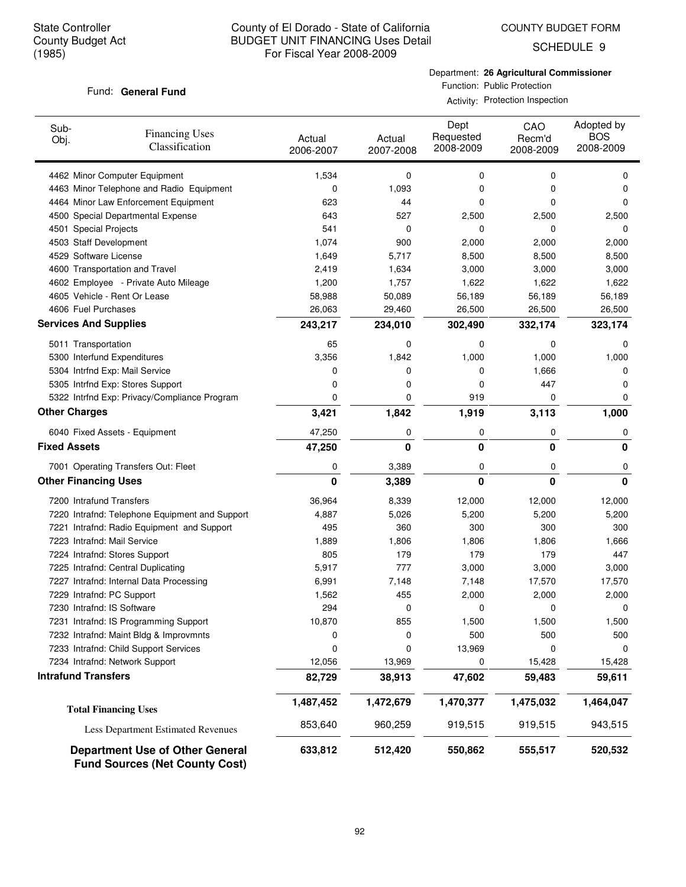COUNTY BUDGET FORM

SCHEDULE 9

#### Fund: General Fund

Department: **26 Agricultural Commissioner** Function: Public Protection

Activity: Protection Inspection

| Sub-<br>Obj.                 | <b>Financing Uses</b><br>Classification                                         | Actual<br>2006-2007 | Actual<br>2007-2008 | Dept<br>Requested<br>2008-2009 | CAO<br>Recm'd<br>2008-2009 | Adopted by<br><b>BOS</b><br>2008-2009 |
|------------------------------|---------------------------------------------------------------------------------|---------------------|---------------------|--------------------------------|----------------------------|---------------------------------------|
|                              | 4462 Minor Computer Equipment                                                   | 1,534               | 0                   | 0                              | 0                          | 0                                     |
|                              | 4463 Minor Telephone and Radio Equipment                                        | 0                   | 1,093               | 0                              | 0                          | 0                                     |
|                              | 4464 Minor Law Enforcement Equipment                                            | 623                 | 44                  | 0                              | 0                          | $\Omega$                              |
|                              | 4500 Special Departmental Expense                                               | 643                 | 527                 | 2,500                          | 2,500                      | 2,500                                 |
| 4501 Special Projects        |                                                                                 | 541                 | 0                   | 0                              | 0                          | 0                                     |
| 4503 Staff Development       |                                                                                 | 1,074               | 900                 | 2,000                          | 2,000                      | 2,000                                 |
| 4529 Software License        |                                                                                 | 1,649               | 5,717               | 8,500                          | 8,500                      | 8,500                                 |
|                              | 4600 Transportation and Travel                                                  | 2,419               | 1,634               | 3,000                          | 3,000                      | 3,000                                 |
|                              | 4602 Employee - Private Auto Mileage                                            | 1,200               | 1,757               | 1,622                          | 1,622                      | 1,622                                 |
|                              | 4605 Vehicle - Rent Or Lease                                                    | 58,988              | 50,089              | 56,189                         | 56,189                     | 56,189                                |
| 4606 Fuel Purchases          |                                                                                 | 26,063              | 29,460              | 26,500                         | 26,500                     | 26,500                                |
| <b>Services And Supplies</b> |                                                                                 | 243,217             | 234,010             | 302,490                        | 332,174                    | 323,174                               |
| 5011 Transportation          |                                                                                 | 65                  | 0                   | 0                              | 0                          | 0                                     |
|                              | 5300 Interfund Expenditures                                                     | 3,356               | 1,842               | 1,000                          | 1,000                      | 1,000                                 |
|                              | 5304 Intrfnd Exp: Mail Service                                                  | 0                   | 0                   | 0                              | 1,666                      | 0                                     |
|                              | 5305 Intrfnd Exp: Stores Support                                                | 0                   | 0                   | 0                              | 447                        | 0                                     |
|                              | 5322 Intrfnd Exp: Privacy/Compliance Program                                    | 0                   | $\mathbf 0$         | 919                            | 0                          | 0                                     |
| <b>Other Charges</b>         |                                                                                 | 3,421               | 1,842               | 1,919                          | 3,113                      | 1,000                                 |
|                              | 6040 Fixed Assets - Equipment                                                   | 47,250              | 0                   | 0                              | 0                          | 0                                     |
| <b>Fixed Assets</b>          |                                                                                 | 47,250              | 0                   | 0                              | 0                          | 0                                     |
|                              | 7001 Operating Transfers Out: Fleet                                             | 0                   | 3,389               | 0                              | 0                          | 0                                     |
| <b>Other Financing Uses</b>  |                                                                                 | 0                   | 3,389               | 0                              | $\bf{0}$                   | $\Omega$                              |
| 7200 Intrafund Transfers     |                                                                                 | 36,964              | 8,339               | 12,000                         | 12,000                     | 12,000                                |
|                              | 7220 Intrafnd: Telephone Equipment and Support                                  | 4,887               | 5,026               | 5,200                          | 5,200                      | 5,200                                 |
|                              | 7221 Intrafnd: Radio Equipment and Support                                      | 495                 | 360                 | 300                            | 300                        | 300                                   |
| 7223 Intrafnd: Mail Service  |                                                                                 | 1,889               | 1,806               | 1,806                          | 1,806                      | 1,666                                 |
|                              | 7224 Intrafnd: Stores Support                                                   | 805                 | 179                 | 179                            | 179                        | 447                                   |
|                              | 7225 Intrafnd: Central Duplicating                                              | 5,917               | 777                 | 3,000                          | 3,000                      | 3,000                                 |
|                              | 7227 Intrafnd: Internal Data Processing                                         | 6,991               | 7,148               | 7,148                          | 17,570                     | 17,570                                |
| 7229 Intrafnd: PC Support    |                                                                                 | 1,562               | 455                 | 2,000                          | 2,000                      | 2,000                                 |
| 7230 Intrafnd: IS Software   |                                                                                 | 294                 | 0                   | 0                              | 0                          | 0                                     |
|                              | 7231 Intrafnd: IS Programming Support                                           | 10,870              | 855                 | 1,500                          | 1,500                      | 1,500                                 |
|                              | 7232 Intrafnd: Maint Bldg & Improvmnts                                          | 0                   | 0                   | 500                            | 500                        | 500                                   |
|                              | 7233 Intrafnd: Child Support Services                                           | 0                   | 0                   | 13,969                         | 0                          | 0                                     |
|                              | 7234 Intrafnd: Network Support                                                  | 12,056              | 13,969              | 0                              | 15,428                     | 15,428                                |
| <b>Intrafund Transfers</b>   |                                                                                 | 82,729              | 38,913              | 47,602                         | 59,483                     | 59,611                                |
|                              | <b>Total Financing Uses</b>                                                     | 1,487,452           | 1,472,679           | 1,470,377                      | 1,475,032                  | 1,464,047                             |
|                              | <b>Less Department Estimated Revenues</b>                                       | 853,640             | 960,259             | 919,515                        | 919,515                    | 943,515                               |
|                              | <b>Department Use of Other General</b><br><b>Fund Sources (Net County Cost)</b> | 633,812             | 512,420             | 550,862                        | 555,517                    | 520,532                               |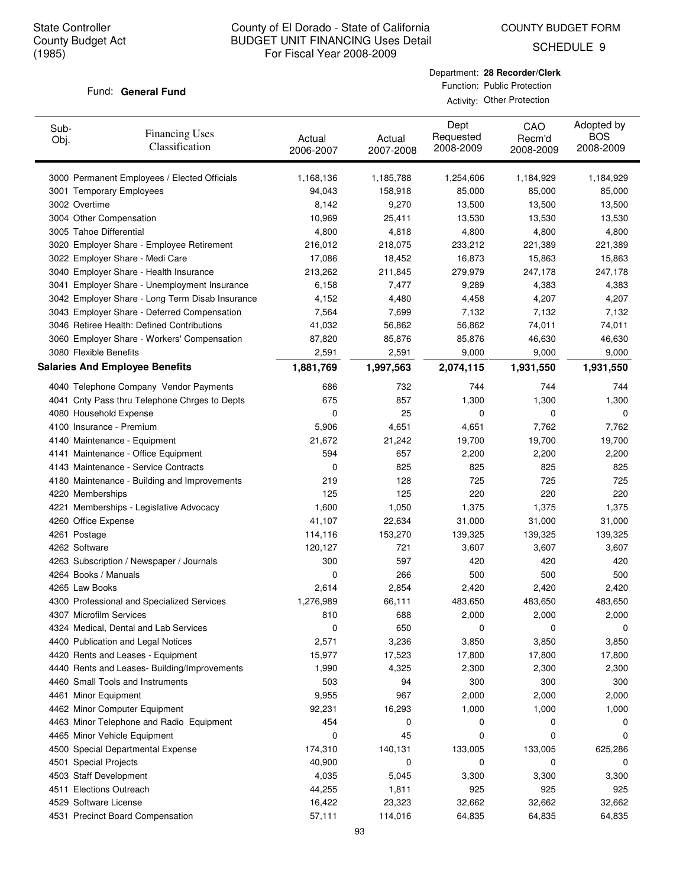COUNTY BUDGET FORM

SCHEDULE 9

#### Fund: General Fund

| Department: 28 Recorder/Clerk |
|-------------------------------|
| Function: Public Protection   |

Activity: Other Protection

| Sub-<br>Obj. | <b>Financing Uses</b><br>Classification         | Actual<br>2006-2007 | Actual<br>2007-2008 | Dept<br>Requested<br>2008-2009 | CAO<br>Recm'd<br>2008-2009 | Adopted by<br><b>BOS</b><br>2008-2009 |
|--------------|-------------------------------------------------|---------------------|---------------------|--------------------------------|----------------------------|---------------------------------------|
|              | 3000 Permanent Employees / Elected Officials    | 1,168,136           | 1,185,788           | 1,254,606                      | 1,184,929                  | 1,184,929                             |
|              | 3001 Temporary Employees                        | 94,043              | 158,918             | 85,000                         | 85,000                     | 85,000                                |
|              | 3002 Overtime                                   | 8,142               | 9,270               | 13,500                         | 13,500                     | 13,500                                |
|              | 3004 Other Compensation                         | 10,969              | 25,411              | 13,530                         | 13,530                     | 13,530                                |
|              | 3005 Tahoe Differential                         | 4,800               | 4,818               | 4,800                          | 4,800                      | 4,800                                 |
|              | 3020 Employer Share - Employee Retirement       | 216,012             | 218,075             | 233,212                        | 221,389                    | 221,389                               |
|              | 3022 Employer Share - Medi Care                 | 17,086              | 18,452              | 16,873                         | 15,863                     | 15,863                                |
|              | 3040 Employer Share - Health Insurance          | 213,262             | 211,845             | 279,979                        | 247,178                    | 247,178                               |
|              | 3041 Employer Share - Unemployment Insurance    | 6,158               | 7,477               | 9,289                          | 4,383                      | 4,383                                 |
|              | 3042 Employer Share - Long Term Disab Insurance | 4,152               | 4,480               | 4,458                          | 4,207                      | 4,207                                 |
|              | 3043 Employer Share - Deferred Compensation     | 7,564               | 7,699               | 7,132                          | 7,132                      | 7,132                                 |
|              | 3046 Retiree Health: Defined Contributions      | 41,032              | 56,862              | 56,862                         | 74,011                     | 74,011                                |
|              | 3060 Employer Share - Workers' Compensation     | 87,820              | 85,876              | 85,876                         | 46,630                     | 46,630                                |
|              | 3080 Flexible Benefits                          | 2,591               | 2,591               | 9,000                          | 9,000                      | 9,000                                 |
|              | <b>Salaries And Employee Benefits</b>           | 1,881,769           | 1,997,563           | 2,074,115                      | 1,931,550                  | 1,931,550                             |
|              | 4040 Telephone Company Vendor Payments          | 686                 | 732                 | 744                            | 744                        | 744                                   |
|              | 4041 Cnty Pass thru Telephone Chrges to Depts   | 675                 | 857                 | 1,300                          | 1,300                      | 1,300                                 |
|              | 4080 Household Expense                          | 0                   | 25                  | 0                              | 0                          | 0                                     |
|              | 4100 Insurance - Premium                        | 5,906               | 4,651               | 4,651                          | 7,762                      | 7,762                                 |
|              | 4140 Maintenance - Equipment                    | 21,672              | 21,242              | 19,700                         | 19,700                     | 19,700                                |
|              | 4141 Maintenance - Office Equipment             | 594                 | 657                 | 2,200                          | 2,200                      | 2,200                                 |
|              | 4143 Maintenance - Service Contracts            | 0                   | 825                 | 825                            | 825                        | 825                                   |
|              | 4180 Maintenance - Building and Improvements    | 219                 | 128                 | 725                            | 725                        | 725                                   |
|              | 4220 Memberships                                | 125                 | 125                 | 220                            | 220                        | 220                                   |
|              | 4221 Memberships - Legislative Advocacy         | 1,600               | 1,050               | 1,375                          | 1,375                      | 1,375                                 |
|              | 4260 Office Expense                             | 41,107              | 22,634              | 31,000                         | 31,000                     | 31,000                                |
|              | 4261 Postage                                    | 114,116             | 153,270             | 139,325                        | 139,325                    | 139,325                               |
|              | 4262 Software                                   | 120,127             | 721                 | 3,607                          | 3,607                      | 3,607                                 |
|              | 4263 Subscription / Newspaper / Journals        | 300                 | 597                 | 420                            | 420                        | 420                                   |
|              | 4264 Books / Manuals                            | 0                   | 266                 | 500                            | 500                        | 500                                   |
|              | 4265 Law Books                                  | 2,614               | 2,854               | 2,420                          | 2,420                      | 2,420                                 |
|              | 4300 Professional and Specialized Services      | 1,276,989           | 66,111              | 483,650                        | 483,650                    | 483,650                               |
|              | 4307 Microfilm Services                         | 810                 | 688                 | 2,000                          | 2,000                      | 2,000                                 |
|              | 4324 Medical, Dental and Lab Services           | 0                   | 650                 | 0                              | 0                          | 0                                     |
|              | 4400 Publication and Legal Notices              | 2,571               | 3,236               | 3,850                          | 3,850                      | 3,850                                 |
|              | 4420 Rents and Leases - Equipment               | 15,977              | 17,523              | 17,800                         | 17,800                     | 17,800                                |
|              | 4440 Rents and Leases- Building/Improvements    | 1,990               | 4,325               | 2,300                          | 2,300                      | 2,300                                 |
|              | 4460 Small Tools and Instruments                | 503                 | 94                  | 300                            | 300                        | 300                                   |
|              | 4461 Minor Equipment                            | 9,955               | 967                 | 2,000                          | 2,000                      | 2,000                                 |
|              | 4462 Minor Computer Equipment                   | 92,231              | 16,293              | 1,000                          | 1,000                      | 1,000                                 |
|              | 4463 Minor Telephone and Radio Equipment        | 454                 | 0                   | 0                              | 0                          | 0                                     |
|              | 4465 Minor Vehicle Equipment                    | 0                   | 45                  | 0                              | 0                          | 0                                     |
|              | 4500 Special Departmental Expense               | 174,310             | 140,131             | 133,005                        | 133,005                    | 625,286                               |
|              | 4501 Special Projects                           | 40,900              | 0                   | 0                              | 0                          | 0                                     |
|              | 4503 Staff Development                          | 4,035               | 5,045               | 3,300                          | 3,300                      | 3,300                                 |
|              | 4511 Elections Outreach                         | 44,255              | 1,811               | 925                            | 925                        | 925                                   |
|              | 4529 Software License                           | 16,422              | 23,323              | 32,662                         | 32,662                     | 32,662                                |
|              | 4531 Precinct Board Compensation                | 57,111              | 114,016             | 64,835                         | 64,835                     | 64,835                                |